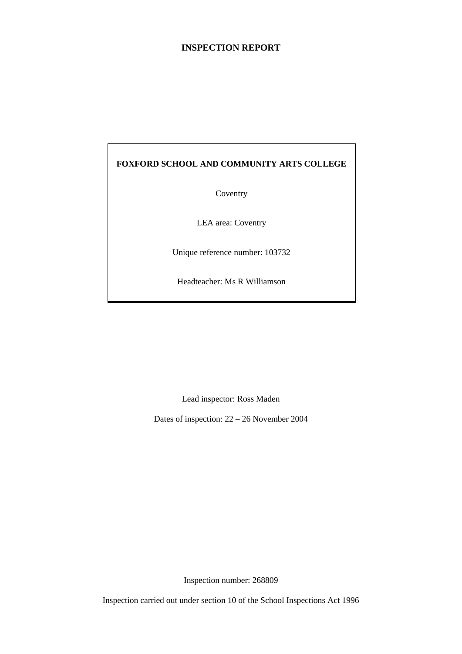## **INSPECTION REPORT**

## **FOXFORD SCHOOL AND COMMUNITY ARTS COLLEGE**

Coventry

LEA area: Coventry

Unique reference number: 103732

Headteacher: Ms R Williamson

Lead inspector: Ross Maden

Dates of inspection: 22 – 26 November 2004

Inspection number: 268809

Inspection carried out under section 10 of the School Inspections Act 1996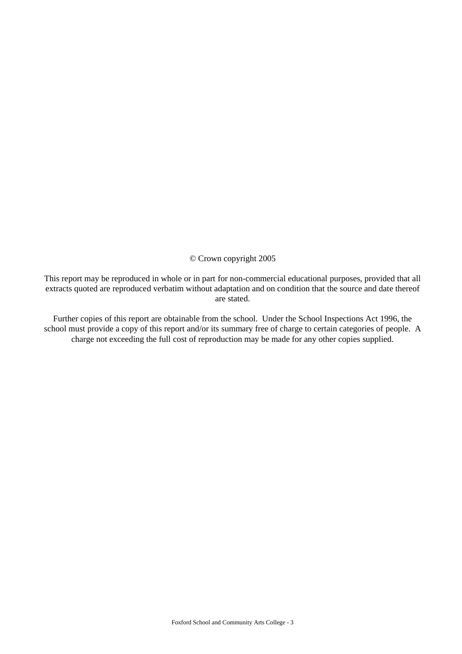#### © Crown copyright 2005

This report may be reproduced in whole or in part for non-commercial educational purposes, provided that all extracts quoted are reproduced verbatim without adaptation and on condition that the source and date thereof are stated.

Further copies of this report are obtainable from the school. Under the School Inspections Act 1996, the school must provide a copy of this report and/or its summary free of charge to certain categories of people. A charge not exceeding the full cost of reproduction may be made for any other copies supplied.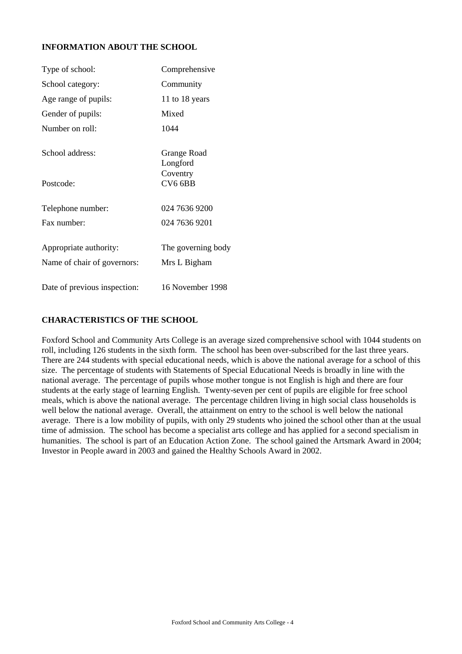## **INFORMATION ABOUT THE SCHOOL**

| Type of school:                                       | Comprehensive                      |
|-------------------------------------------------------|------------------------------------|
| School category:                                      | Community                          |
| Age range of pupils:                                  | 11 to 18 years                     |
| Gender of pupils:                                     | Mixed                              |
| Number on roll:                                       | 1044                               |
| School address:                                       | Grange Road<br>Longford            |
| Postcode:                                             | Coventry<br>CV <sub>6</sub> 6BB    |
| Telephone number:                                     | 024 7636 9200                      |
| Fax number:                                           | 024 7636 9201                      |
| Appropriate authority:<br>Name of chair of governors: | The governing body<br>Mrs L Bigham |
| Date of previous inspection:                          | 16 November 1998                   |

#### **CHARACTERISTICS OF THE SCHOOL**

Foxford School and Community Arts College is an average sized comprehensive school with 1044 students on roll, including 126 students in the sixth form. The school has been over-subscribed for the last three years. There are 244 students with special educational needs, which is above the national average for a school of this size. The percentage of students with Statements of Special Educational Needs is broadly in line with the national average. The percentage of pupils whose mother tongue is not English is high and there are four students at the early stage of learning English. Twenty-seven per cent of pupils are eligible for free school meals, which is above the national average. The percentage children living in high social class households is well below the national average. Overall, the attainment on entry to the school is well below the national average. There is a low mobility of pupils, with only 29 students who joined the school other than at the usual time of admission. The school has become a specialist arts college and has applied for a second specialism in humanities. The school is part of an Education Action Zone. The school gained the Artsmark Award in 2004; Investor in People award in 2003 and gained the Healthy Schools Award in 2002.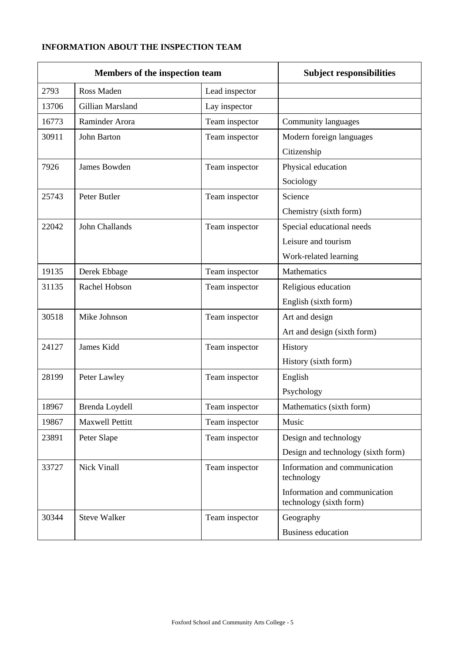## **INFORMATION ABOUT THE INSPECTION TEAM**

| Members of the inspection team |                     | <b>Subject responsibilities</b> |                                                          |
|--------------------------------|---------------------|---------------------------------|----------------------------------------------------------|
| 2793                           | Ross Maden          | Lead inspector                  |                                                          |
| 13706                          | Gillian Marsland    | Lay inspector                   |                                                          |
| 16773                          | Raminder Arora      | Team inspector                  | Community languages                                      |
| 30911                          | John Barton         | Team inspector                  | Modern foreign languages                                 |
|                                |                     |                                 | Citizenship                                              |
| 7926                           | <b>James Bowden</b> | Team inspector                  | Physical education                                       |
|                                |                     |                                 | Sociology                                                |
| 25743                          | Peter Butler        | Team inspector                  | Science                                                  |
|                                |                     |                                 | Chemistry (sixth form)                                   |
| 22042                          | John Challands      | Team inspector                  | Special educational needs                                |
|                                |                     |                                 | Leisure and tourism                                      |
|                                |                     |                                 | Work-related learning                                    |
| 19135                          | Derek Ebbage        | Team inspector                  | Mathematics                                              |
| 31135                          | Rachel Hobson       | Team inspector                  | Religious education                                      |
|                                |                     |                                 | English (sixth form)                                     |
| 30518                          | Mike Johnson        | Team inspector                  | Art and design                                           |
|                                |                     |                                 | Art and design (sixth form)                              |
| 24127                          | James Kidd          | Team inspector                  | History                                                  |
|                                |                     |                                 | History (sixth form)                                     |
| 28199                          | Peter Lawley        | Team inspector                  | English                                                  |
|                                |                     |                                 | Psychology                                               |
| 18967                          | Brenda Loydell      | Team inspector                  | Mathematics (sixth form)                                 |
| 19867                          | Maxwell Pettitt     | Team inspector                  | Music                                                    |
| 23891                          | Peter Slape         | Team inspector                  | Design and technology                                    |
|                                |                     |                                 | Design and technology (sixth form)                       |
| 33727                          | <b>Nick Vinall</b>  | Team inspector                  | Information and communication<br>technology              |
|                                |                     |                                 | Information and communication<br>technology (sixth form) |
| 30344                          | <b>Steve Walker</b> | Team inspector                  | Geography                                                |
|                                |                     |                                 | <b>Business education</b>                                |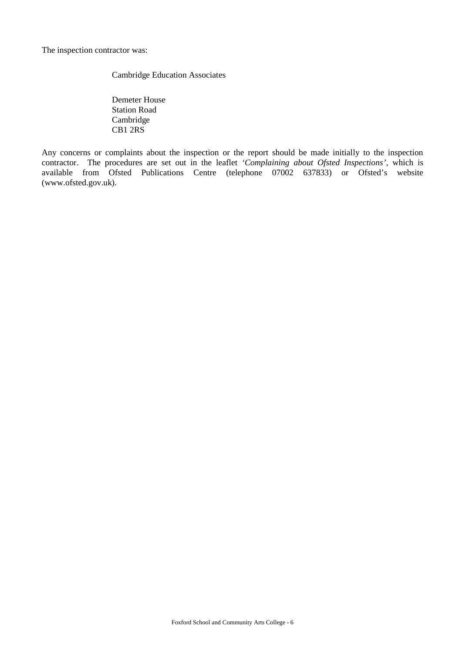The inspection contractor was:

Cambridge Education Associates

Demeter House Station Road Cambridge CB1 2RS

Any concerns or complaints about the inspection or the report should be made initially to the inspection contractor. The procedures are set out in the leaflet *'Complaining about Ofsted Inspections'*, which is available from Ofsted Publications Centre (telephone 07002 637833) or Ofsted's website (www.ofsted.gov.uk).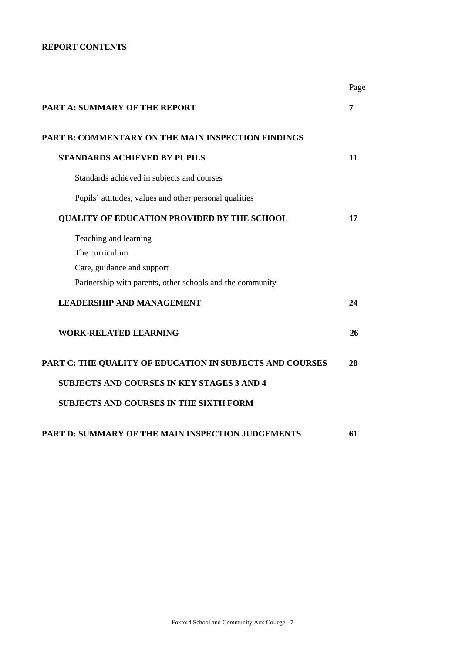## **REPORT CONTENTS**

|                                                           | Page |
|-----------------------------------------------------------|------|
| <b>PART A: SUMMARY OF THE REPORT</b>                      | 7    |
| PART B: COMMENTARY ON THE MAIN INSPECTION FINDINGS        |      |
| <b>STANDARDS ACHIEVED BY PUPILS</b>                       | 11   |
| Standards achieved in subjects and courses                |      |
| Pupils' attitudes, values and other personal qualities    |      |
| <b>QUALITY OF EDUCATION PROVIDED BY THE SCHOOL</b>        | 17   |
| Teaching and learning<br>The curriculum                   |      |
| Care, guidance and support                                |      |
| Partnership with parents, other schools and the community |      |
| <b>LEADERSHIP AND MANAGEMENT</b>                          | 24   |
| <b>WORK-RELATED LEARNING</b>                              | 26   |
| PART C: THE QUALITY OF EDUCATION IN SUBJECTS AND COURSES  | 28   |
| <b>SUBJECTS AND COURSES IN KEY STAGES 3 AND 4</b>         |      |
| <b>SUBJECTS AND COURSES IN THE SIXTH FORM</b>             |      |
| PART D: SUMMARY OF THE MAIN INSPECTION JUDGEMENTS         | 61   |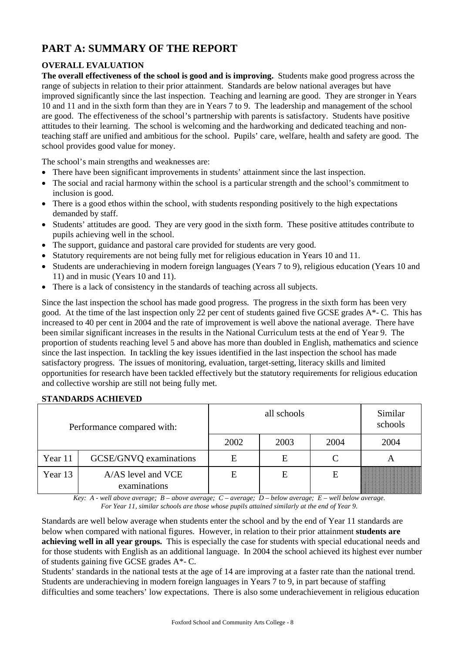# **PART A: SUMMARY OF THE REPORT**

## **OVERALL EVALUATION**

**The overall effectiveness of the school is good and is improving.** Students make good progress across the range of subjects in relation to their prior attainment. Standards are below national averages but have improved significantly since the last inspection. Teaching and learning are good. They are stronger in Years 10 and 11 and in the sixth form than they are in Years 7 to 9. The leadership and management of the school are good. The effectiveness of the school's partnership with parents is satisfactory. Students have positive attitudes to their learning. The school is welcoming and the hardworking and dedicated teaching and nonteaching staff are unified and ambitious for the school. Pupils' care, welfare, health and safety are good. The school provides good value for money.

The school's main strengths and weaknesses are:

- There have been significant improvements in students' attainment since the last inspection.
- The social and racial harmony within the school is a particular strength and the school's commitment to inclusion is good.
- There is a good ethos within the school, with students responding positively to the high expectations demanded by staff.
- Students' attitudes are good. They are very good in the sixth form. These positive attitudes contribute to pupils achieving well in the school.
- The support, guidance and pastoral care provided for students are very good.
- Statutory requirements are not being fully met for religious education in Years 10 and 11.
- Students are underachieving in modern foreign languages (Years 7 to 9), religious education (Years 10 and 11) and in music (Years 10 and 11).
- There is a lack of consistency in the standards of teaching across all subjects.

Since the last inspection the school has made good progress. The progress in the sixth form has been very good. At the time of the last inspection only 22 per cent of students gained five GCSE grades A\*- C. This has increased to 40 per cent in 2004 and the rate of improvement is well above the national average. There have been similar significant increases in the results in the National Curriculum tests at the end of Year 9. The proportion of students reaching level 5 and above has more than doubled in English, mathematics and science since the last inspection. In tackling the key issues identified in the last inspection the school has made satisfactory progress. The issues of monitoring, evaluation, target-setting, literacy skills and limited opportunities for research have been tackled effectively but the statutory requirements for religious education and collective worship are still not being fully met.

## **STANDARDS ACHIEVED**

| Performance compared with: |                                    |      | Similar<br>schools |      |      |
|----------------------------|------------------------------------|------|--------------------|------|------|
|                            |                                    | 2002 | 2003               | 2004 | 2004 |
| Year 11                    | GCSE/GNVQ examinations             | E    | E                  |      |      |
| Year 13                    | A/AS level and VCE<br>examinations | E    | Е                  | Е    |      |

*Key: A - well above average; B – above average; C – average; D – below average; E – well below average. For Year 11, similar schools are those whose pupils attained similarly at the end of Year 9.*

Standards are well below average when students enter the school and by the end of Year 11 standards are below when compared with national figures. However, in relation to their prior attainment **students are achieving well in all year groups.** This is especially the case for students with special educational needs and for those students with English as an additional language. In 2004 the school achieved its highest ever number of students gaining five GCSE grades A\*- C.

Students' standards in the national tests at the age of 14 are improving at a faster rate than the national trend. Students are underachieving in modern foreign languages in Years 7 to 9, in part because of staffing difficulties and some teachers' low expectations. There is also some underachievement in religious education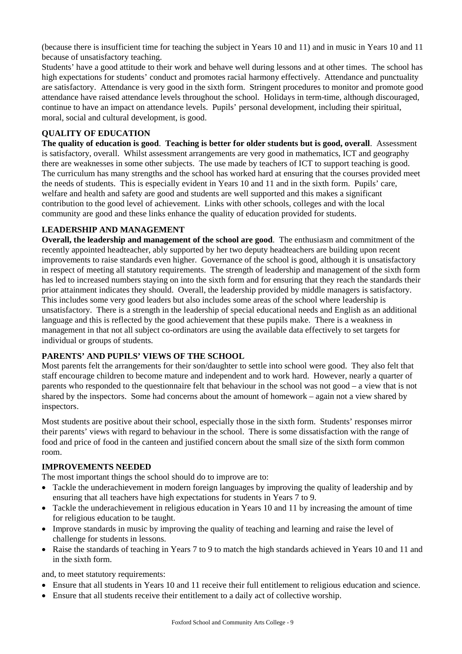(because there is insufficient time for teaching the subject in Years 10 and 11) and in music in Years 10 and 11 because of unsatisfactory teaching.

Students' have a good attitude to their work and behave well during lessons and at other times. The school has high expectations for students' conduct and promotes racial harmony effectively. Attendance and punctuality are satisfactory. Attendance is very good in the sixth form. Stringent procedures to monitor and promote good attendance have raised attendance levels throughout the school. Holidays in term-time, although discouraged, continue to have an impact on attendance levels. Pupils' personal development, including their spiritual, moral, social and cultural development, is good.

## **QUALITY OF EDUCATION**

**The quality of education is good**. **Teaching is better for older students but is good, overall**. Assessment is satisfactory, overall. Whilst assessment arrangements are very good in mathematics, ICT and geography there are weaknesses in some other subjects. The use made by teachers of ICT to support teaching is good. The curriculum has many strengths and the school has worked hard at ensuring that the courses provided meet the needs of students. This is especially evident in Years 10 and 11 and in the sixth form. Pupils' care, welfare and health and safety are good and students are well supported and this makes a significant contribution to the good level of achievement. Links with other schools, colleges and with the local community are good and these links enhance the quality of education provided for students.

### **LEADERSHIP AND MANAGEMENT**

**Overall, the leadership and management of the school are good**. The enthusiasm and commitment of the recently appointed headteacher, ably supported by her two deputy headteachers are building upon recent improvements to raise standards even higher. Governance of the school is good, although it is unsatisfactory in respect of meeting all statutory requirements. The strength of leadership and management of the sixth form has led to increased numbers staying on into the sixth form and for ensuring that they reach the standards their prior attainment indicates they should. Overall, the leadership provided by middle managers is satisfactory. This includes some very good leaders but also includes some areas of the school where leadership is unsatisfactory. There is a strength in the leadership of special educational needs and English as an additional language and this is reflected by the good achievement that these pupils make. There is a weakness in management in that not all subject co-ordinators are using the available data effectively to set targets for individual or groups of students.

#### **PARENTS' AND PUPILS' VIEWS OF THE SCHOOL**

Most parents felt the arrangements for their son/daughter to settle into school were good. They also felt that staff encourage children to become mature and independent and to work hard. However, nearly a quarter of parents who responded to the questionnaire felt that behaviour in the school was not good – a view that is not shared by the inspectors. Some had concerns about the amount of homework – again not a view shared by inspectors.

Most students are positive about their school, especially those in the sixth form. Students' responses mirror their parents' views with regard to behaviour in the school. There is some dissatisfaction with the range of food and price of food in the canteen and justified concern about the small size of the sixth form common room.

#### **IMPROVEMENTS NEEDED**

The most important things the school should do to improve are to:

- Tackle the underachievement in modern foreign languages by improving the quality of leadership and by ensuring that all teachers have high expectations for students in Years 7 to 9.
- Tackle the underachievement in religious education in Years 10 and 11 by increasing the amount of time for religious education to be taught.
- Improve standards in music by improving the quality of teaching and learning and raise the level of challenge for students in lessons.
- Raise the standards of teaching in Years 7 to 9 to match the high standards achieved in Years 10 and 11 and in the sixth form.

and, to meet statutory requirements:

- Ensure that all students in Years 10 and 11 receive their full entitlement to religious education and science.
- Ensure that all students receive their entitlement to a daily act of collective worship.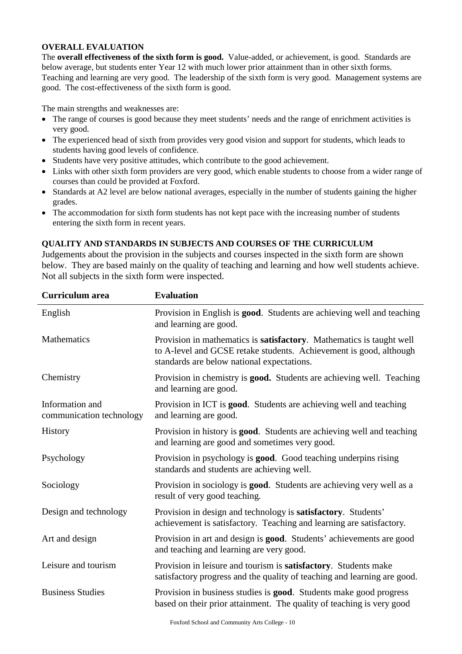#### **OVERALL EVALUATION**

The **overall effectiveness of the sixth form is good.** Value-added, or achievement, is good. Standards are below average, but students enter Year 12 with much lower prior attainment than in other sixth forms. Teaching and learning are very good. The leadership of the sixth form is very good. Management systems are good. The cost-effectiveness of the sixth form is good.

The main strengths and weaknesses are:

- The range of courses is good because they meet students' needs and the range of enrichment activities is very good.
- The experienced head of sixth from provides very good vision and support for students, which leads to students having good levels of confidence.
- Students have very positive attitudes, which contribute to the good achievement.
- Links with other sixth form providers are very good, which enable students to choose from a wider range of courses than could be provided at Foxford.
- Standards at A2 level are below national averages, especially in the number of students gaining the higher grades.
- The accommodation for sixth form students has not kept pace with the increasing number of students entering the sixth form in recent years.

## **QUALITY AND STANDARDS IN SUBJECTS AND COURSES OF THE CURRICULUM**

Judgements about the provision in the subjects and courses inspected in the sixth form are shown below. They are based mainly on the quality of teaching and learning and how well students achieve. Not all subjects in the sixth form were inspected.

| <b>Curriculum</b> area                      | <b>Evaluation</b>                                                                                                                                                                        |
|---------------------------------------------|------------------------------------------------------------------------------------------------------------------------------------------------------------------------------------------|
| English                                     | Provision in English is <b>good</b> . Students are achieving well and teaching<br>and learning are good.                                                                                 |
| Mathematics                                 | Provision in mathematics is satisfactory. Mathematics is taught well<br>to A-level and GCSE retake students. Achievement is good, although<br>standards are below national expectations. |
| Chemistry                                   | Provision in chemistry is good. Students are achieving well. Teaching<br>and learning are good.                                                                                          |
| Information and<br>communication technology | Provision in ICT is good. Students are achieving well and teaching<br>and learning are good.                                                                                             |
| History                                     | Provision in history is <b>good</b> . Students are achieving well and teaching<br>and learning are good and sometimes very good.                                                         |
| Psychology                                  | Provision in psychology is <b>good</b> . Good teaching underpins rising<br>standards and students are achieving well.                                                                    |
| Sociology                                   | Provision in sociology is good. Students are achieving very well as a<br>result of very good teaching.                                                                                   |
| Design and technology                       | Provision in design and technology is satisfactory. Students'<br>achievement is satisfactory. Teaching and learning are satisfactory.                                                    |
| Art and design                              | Provision in art and design is <b>good</b> . Students' achievements are good<br>and teaching and learning are very good.                                                                 |
| Leisure and tourism                         | Provision in leisure and tourism is <b>satisfactory</b> . Students make<br>satisfactory progress and the quality of teaching and learning are good.                                      |
| <b>Business Studies</b>                     | Provision in business studies is good. Students make good progress<br>based on their prior attainment. The quality of teaching is very good                                              |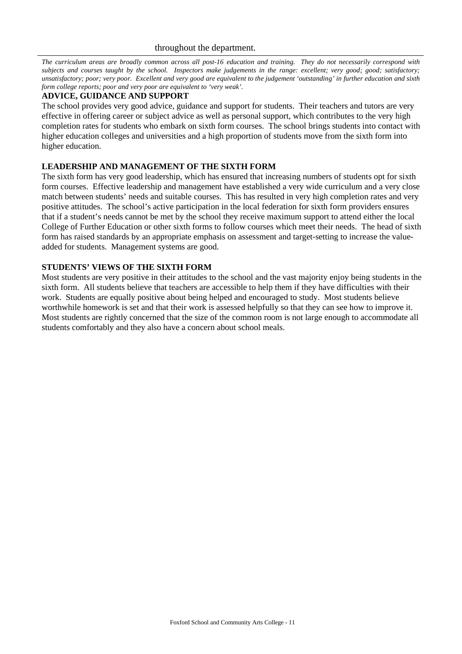*The curriculum areas are broadly common across all post-16 education and training. They do not necessarily correspond with subjects and courses taught by the school. Inspectors make judgements in the range: excellent; very good; good; satisfactory; unsatisfactory; poor; very poor. Excellent and very good are equivalent to the judgement 'outstanding' in further education and sixth form college reports; poor and very poor are equivalent to 'very weak'.*

#### **ADVICE, GUIDANCE AND SUPPORT**

The school provides very good advice, guidance and support for students. Their teachers and tutors are very effective in offering career or subject advice as well as personal support, which contributes to the very high completion rates for students who embark on sixth form courses. The school brings students into contact with higher education colleges and universities and a high proportion of students move from the sixth form into higher education.

### **LEADERSHIP AND MANAGEMENT OF THE SIXTH FORM**

The sixth form has very good leadership, which has ensured that increasing numbers of students opt for sixth form courses. Effective leadership and management have established a very wide curriculum and a very close match between students' needs and suitable courses. This has resulted in very high completion rates and very positive attitudes. The school's active participation in the local federation for sixth form providers ensures that if a student's needs cannot be met by the school they receive maximum support to attend either the local College of Further Education or other sixth forms to follow courses which meet their needs. The head of sixth form has raised standards by an appropriate emphasis on assessment and target-setting to increase the valueadded for students. Management systems are good.

### **STUDENTS' VIEWS OF THE SIXTH FORM**

Most students are very positive in their attitudes to the school and the vast majority enjoy being students in the sixth form. All students believe that teachers are accessible to help them if they have difficulties with their work. Students are equally positive about being helped and encouraged to study. Most students believe worthwhile homework is set and that their work is assessed helpfully so that they can see how to improve it. Most students are rightly concerned that the size of the common room is not large enough to accommodate all students comfortably and they also have a concern about school meals.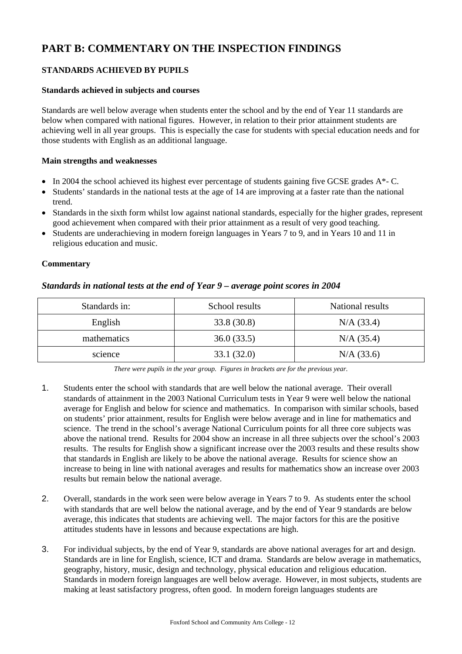# **PART B: COMMENTARY ON THE INSPECTION FINDINGS**

## **STANDARDS ACHIEVED BY PUPILS**

#### **Standards achieved in subjects and courses**

Standards are well below average when students enter the school and by the end of Year 11 standards are below when compared with national figures. However, in relation to their prior attainment students are achieving well in all year groups. This is especially the case for students with special education needs and for those students with English as an additional language.

#### **Main strengths and weaknesses**

- $\bullet$  In 2004 the school achieved its highest ever percentage of students gaining five GCSE grades  $A^*$ -C.
- Students' standards in the national tests at the age of 14 are improving at a faster rate than the national trend.
- Standards in the sixth form whilst low against national standards, especially for the higher grades, represent good achievement when compared with their prior attainment as a result of very good teaching.
- Students are underachieving in modern foreign languages in Years 7 to 9, and in Years 10 and 11 in religious education and music.

### **Commentary**

## *Standards in national tests at the end of Year 9 – average point scores in 2004*

| Standards in: | School results | National results |
|---------------|----------------|------------------|
| English       | 33.8 (30.8)    | N/A (33.4)       |
| mathematics   | 36.0(33.5)     | N/A (35.4)       |
| science       | 33.1(32.0)     | N/A (33.6)       |

*There were pupils in the year group. Figures in brackets are for the previous year.*

- 1. Students enter the school with standards that are well below the national average. Their overall standards of attainment in the 2003 National Curriculum tests in Year 9 were well below the national average for English and below for science and mathematics. In comparison with similar schools, based on students' prior attainment, results for English were below average and in line for mathematics and science. The trend in the school's average National Curriculum points for all three core subjects was above the national trend. Results for 2004 show an increase in all three subjects over the school's 2003 results. The results for English show a significant increase over the 2003 results and these results show that standards in English are likely to be above the national average. Results for science show an increase to being in line with national averages and results for mathematics show an increase over 2003 results but remain below the national average.
- 2. Overall, standards in the work seen were below average in Years 7 to 9. As students enter the school with standards that are well below the national average, and by the end of Year 9 standards are below average, this indicates that students are achieving well. The major factors for this are the positive attitudes students have in lessons and because expectations are high.
- 3. For individual subjects, by the end of Year 9, standards are above national averages for art and design. Standards are in line for English, science, ICT and drama. Standards are below average in mathematics, geography, history, music, design and technology, physical education and religious education. Standards in modern foreign languages are well below average. However, in most subjects, students are making at least satisfactory progress, often good. In modern foreign languages students are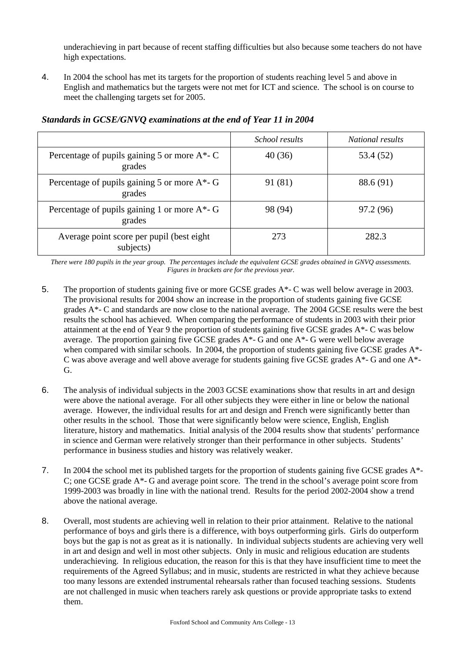underachieving in part because of recent staffing difficulties but also because some teachers do not have high expectations.

4. In 2004 the school has met its targets for the proportion of students reaching level 5 and above in English and mathematics but the targets were not met for ICT and science. The school is on course to meet the challenging targets set for 2005.

|                                                            | School results | <i>National results</i> |
|------------------------------------------------------------|----------------|-------------------------|
| Percentage of pupils gaining 5 or more $A^*$ - C<br>grades | 40(36)         | 53.4 (52)               |
| Percentage of pupils gaining 5 or more A*- G<br>grades     | 91 (81)        | 88.6 (91)               |
| Percentage of pupils gaining 1 or more A*- G<br>grades     | 98 (94)        | 97.2 (96)               |
| Average point score per pupil (best eight)<br>subjects)    | 273            | 282.3                   |

## *Standards in GCSE/GNVQ examinations at the end of Year 11 in 2004*

*There were 180 pupils in the year group. The percentages include the equivalent GCSE grades obtained in GNVQ assessments. Figures in brackets are for the previous year.* 

- 5. The proportion of students gaining five or more GCSE grades A\*- C was well below average in 2003. The provisional results for 2004 show an increase in the proportion of students gaining five GCSE grades A\*- C and standards are now close to the national average. The 2004 GCSE results were the best results the school has achieved. When comparing the performance of students in 2003 with their prior attainment at the end of Year 9 the proportion of students gaining five GCSE grades A\*- C was below average. The proportion gaining five GCSE grades  $A^*$ - G and one  $A^*$ - G were well below average when compared with similar schools. In 2004, the proportion of students gaining five GCSE grades A\*-C was above average and well above average for students gaining five GCSE grades A\*- G and one A\*- G.
- 6. The analysis of individual subjects in the 2003 GCSE examinations show that results in art and design were above the national average. For all other subjects they were either in line or below the national average. However, the individual results for art and design and French were significantly better than other results in the school. Those that were significantly below were science, English, English literature, history and mathematics. Initial analysis of the 2004 results show that students' performance in science and German were relatively stronger than their performance in other subjects. Students' performance in business studies and history was relatively weaker.
- 7. In 2004 the school met its published targets for the proportion of students gaining five GCSE grades A\*- C; one GCSE grade  $A^*$ - G and average point score. The trend in the school's average point score from 1999-2003 was broadly in line with the national trend. Results for the period 2002-2004 show a trend above the national average.
- 8. Overall, most students are achieving well in relation to their prior attainment. Relative to the national performance of boys and girls there is a difference, with boys outperforming girls. Girls do outperform boys but the gap is not as great as it is nationally. In individual subjects students are achieving very well in art and design and well in most other subjects. Only in music and religious education are students underachieving. In religious education, the reason for this is that they have insufficient time to meet the requirements of the Agreed Syllabus; and in music, students are restricted in what they achieve because too many lessons are extended instrumental rehearsals rather than focused teaching sessions. Students are not challenged in music when teachers rarely ask questions or provide appropriate tasks to extend them.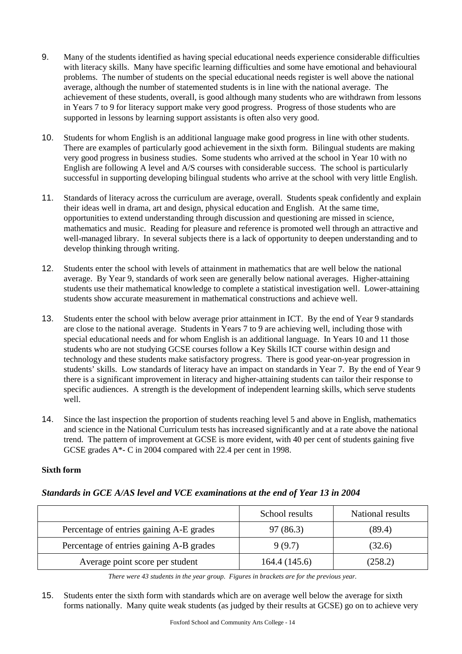- 9. Many of the students identified as having special educational needs experience considerable difficulties with literacy skills. Many have specific learning difficulties and some have emotional and behavioural problems. The number of students on the special educational needs register is well above the national average, although the number of statemented students is in line with the national average. The achievement of these students, overall, is good although many students who are withdrawn from lessons in Years 7 to 9 for literacy support make very good progress. Progress of those students who are supported in lessons by learning support assistants is often also very good.
- 10. Students for whom English is an additional language make good progress in line with other students. There are examples of particularly good achievement in the sixth form. Bilingual students are making very good progress in business studies. Some students who arrived at the school in Year 10 with no English are following A level and A/S courses with considerable success. The school is particularly successful in supporting developing bilingual students who arrive at the school with very little English.
- 11. Standards of literacy across the curriculum are average, overall. Students speak confidently and explain their ideas well in drama, art and design, physical education and English. At the same time, opportunities to extend understanding through discussion and questioning are missed in science, mathematics and music. Reading for pleasure and reference is promoted well through an attractive and well-managed library. In several subjects there is a lack of opportunity to deepen understanding and to develop thinking through writing.
- 12. Students enter the school with levels of attainment in mathematics that are well below the national average. By Year 9, standards of work seen are generally below national averages. Higher-attaining students use their mathematical knowledge to complete a statistical investigation well. Lower-attaining students show accurate measurement in mathematical constructions and achieve well.
- 13. Students enter the school with below average prior attainment in ICT. By the end of Year 9 standards are close to the national average. Students in Years 7 to 9 are achieving well, including those with special educational needs and for whom English is an additional language. In Years 10 and 11 those students who are not studying GCSE courses follow a Key Skills ICT course within design and technology and these students make satisfactory progress. There is good year-on-year progression in students' skills. Low standards of literacy have an impact on standards in Year 7. By the end of Year 9 there is a significant improvement in literacy and higher-attaining students can tailor their response to specific audiences. A strength is the development of independent learning skills, which serve students well.
- 14. Since the last inspection the proportion of students reaching level 5 and above in English, mathematics and science in the National Curriculum tests has increased significantly and at a rate above the national trend. The pattern of improvement at GCSE is more evident, with 40 per cent of students gaining five GCSE grades A\*- C in 2004 compared with 22.4 per cent in 1998.

## **Sixth form**

## *Standards in GCE A/AS level and VCE examinations at the end of Year 13 in 2004*

|                                          | School results | National results |
|------------------------------------------|----------------|------------------|
| Percentage of entries gaining A-E grades | 97 (86.3)      | (89.4)           |
| Percentage of entries gaining A-B grades | 9(9.7)         | (32.6)           |
| Average point score per student          | 164.4 (145.6)  | (258.2)          |

*There were 43 students in the year group. Figures in brackets are for the previous year.*

15. Students enter the sixth form with standards which are on average well below the average for sixth forms nationally. Many quite weak students (as judged by their results at GCSE) go on to achieve very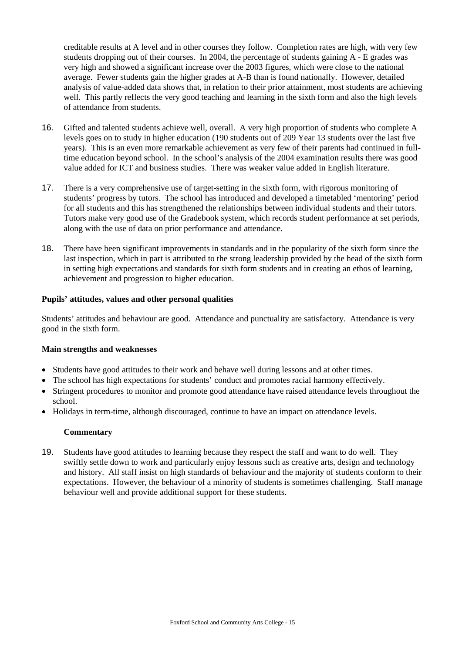creditable results at A level and in other courses they follow. Completion rates are high, with very few students dropping out of their courses. In 2004, the percentage of students gaining A - E grades was very high and showed a significant increase over the 2003 figures, which were close to the national average. Fewer students gain the higher grades at A-B than is found nationally. However, detailed analysis of value-added data shows that, in relation to their prior attainment, most students are achieving well. This partly reflects the very good teaching and learning in the sixth form and also the high levels of attendance from students.

- 16. Gifted and talented students achieve well, overall. A very high proportion of students who complete A levels goes on to study in higher education (190 students out of 209 Year 13 students over the last five years). This is an even more remarkable achievement as very few of their parents had continued in fulltime education beyond school. In the school's analysis of the 2004 examination results there was good value added for ICT and business studies. There was weaker value added in English literature.
- 17. There is a very comprehensive use of target-setting in the sixth form, with rigorous monitoring of students' progress by tutors. The school has introduced and developed a timetabled 'mentoring' period for all students and this has strengthened the relationships between individual students and their tutors. Tutors make very good use of the Gradebook system, which records student performance at set periods, along with the use of data on prior performance and attendance.
- 18. There have been significant improvements in standards and in the popularity of the sixth form since the last inspection, which in part is attributed to the strong leadership provided by the head of the sixth form in setting high expectations and standards for sixth form students and in creating an ethos of learning, achievement and progression to higher education.

### **Pupils' attitudes, values and other personal qualities**

Students' attitudes and behaviour are good. Attendance and punctuality are satisfactory. Attendance is very good in the sixth form.

#### **Main strengths and weaknesses**

- Students have good attitudes to their work and behave well during lessons and at other times.
- The school has high expectations for students' conduct and promotes racial harmony effectively.
- Stringent procedures to monitor and promote good attendance have raised attendance levels throughout the school.
- Holidays in term-time, although discouraged, continue to have an impact on attendance levels.

#### **Commentary**

19. Students have good attitudes to learning because they respect the staff and want to do well. They swiftly settle down to work and particularly enjoy lessons such as creative arts, design and technology and history. All staff insist on high standards of behaviour and the majority of students conform to their expectations. However, the behaviour of a minority of students is sometimes challenging. Staff manage behaviour well and provide additional support for these students.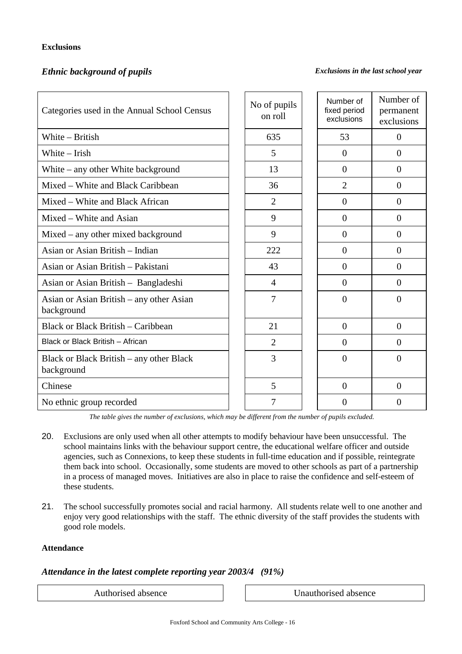## **Exclusions**

## *Ethnic background of pupils Exclusions in the last school year*

| Categories used in the Annual School Census            | No of pupils<br>on roll | Number of<br>fixed period<br>exclusions | Number of<br>permanent<br>exclusions |
|--------------------------------------------------------|-------------------------|-----------------------------------------|--------------------------------------|
| White - British                                        | 635                     | 53                                      | $\Omega$                             |
| White - Irish                                          | 5                       | $\Omega$                                | $\Omega$                             |
| White $-$ any other White background                   | 13                      | $\overline{0}$                          | $\Omega$                             |
| Mixed – White and Black Caribbean                      | 36                      | $\overline{2}$                          | $\overline{0}$                       |
| Mixed – White and Black African                        | $\overline{2}$          | $\overline{0}$                          | $\overline{0}$                       |
| Mixed – White and Asian                                | 9                       | $\overline{0}$                          | $\overline{0}$                       |
| $Mixed - any other mixed background$                   | 9                       | $\Omega$                                | $\Omega$                             |
| Asian or Asian British – Indian                        | 222                     | $\Omega$                                | $\Omega$                             |
| Asian or Asian British – Pakistani                     | 43                      | $\Omega$                                | $\Omega$                             |
| Asian or Asian British – Bangladeshi                   | 4                       | $\Omega$                                | $\Omega$                             |
| Asian or Asian British – any other Asian<br>background | $\overline{7}$          | $\theta$                                | $\Omega$                             |
| <b>Black or Black British - Caribbean</b>              | 21                      | $\Omega$                                | $\Omega$                             |
| Black or Black British - African                       | $\overline{2}$          | $\Omega$                                | $\Omega$                             |
| Black or Black British – any other Black<br>background | 3                       | $\theta$                                | $\Omega$                             |
| Chinese                                                | 5                       | $\theta$                                | $\Omega$                             |
| No ethnic group recorded                               | 7                       | $\Omega$                                | $\Omega$                             |

*The table gives the number of exclusions, which may be different from the number of pupils excluded.*

- 20. Exclusions are only used when all other attempts to modify behaviour have been unsuccessful. The school maintains links with the behaviour support centre, the educational welfare officer and outside agencies, such as Connexions, to keep these students in full-time education and if possible, reintegrate them back into school. Occasionally, some students are moved to other schools as part of a partnership in a process of managed moves. Initiatives are also in place to raise the confidence and self-esteem of these students.
- 21. The school successfully promotes social and racial harmony. All students relate well to one another and enjoy very good relationships with the staff. The ethnic diversity of the staff provides the students with good role models.

#### **Attendance**

#### *Attendance in the latest complete reporting year 2003/4 (91%)*

Authorised absence Unauthorised absence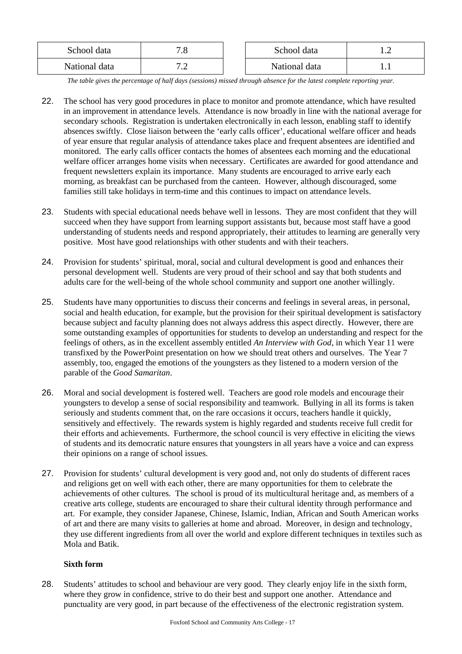| School data   | - 60<br>$\cdot$ o | School data   |  |
|---------------|-------------------|---------------|--|
| National data | $\cdot$           | National data |  |

*The table gives the percentage of half days (sessions) missed through absence for the latest complete reporting year.*

- 22. The school has very good procedures in place to monitor and promote attendance, which have resulted in an improvement in attendance levels. Attendance is now broadly in line with the national average for secondary schools. Registration is undertaken electronically in each lesson, enabling staff to identify absences swiftly. Close liaison between the 'early calls officer', educational welfare officer and heads of year ensure that regular analysis of attendance takes place and frequent absentees are identified and monitored. The early calls officer contacts the homes of absentees each morning and the educational welfare officer arranges home visits when necessary. Certificates are awarded for good attendance and frequent newsletters explain its importance. Many students are encouraged to arrive early each morning, as breakfast can be purchased from the canteen. However, although discouraged, some families still take holidays in term-time and this continues to impact on attendance levels.
- 23. Students with special educational needs behave well in lessons. They are most confident that they will succeed when they have support from learning support assistants but, because most staff have a good understanding of students needs and respond appropriately, their attitudes to learning are generally very positive. Most have good relationships with other students and with their teachers.
- 24. Provision for students' spiritual, moral, social and cultural development is good and enhances their personal development well. Students are very proud of their school and say that both students and adults care for the well-being of the whole school community and support one another willingly.
- 25. Students have many opportunities to discuss their concerns and feelings in several areas, in personal, social and health education, for example, but the provision for their spiritual development is satisfactory because subject and faculty planning does not always address this aspect directly. However, there are some outstanding examples of opportunities for students to develop an understanding and respect for the feelings of others, as in the excellent assembly entitled *An Interview with God*, in which Year 11 were transfixed by the PowerPoint presentation on how we should treat others and ourselves. The Year 7 assembly, too, engaged the emotions of the youngsters as they listened to a modern version of the parable of the *Good Samaritan*.
- 26. Moral and social development is fostered well. Teachers are good role models and encourage their youngsters to develop a sense of social responsibility and teamwork. Bullying in all its forms is taken seriously and students comment that, on the rare occasions it occurs, teachers handle it quickly, sensitively and effectively. The rewards system is highly regarded and students receive full credit for their efforts and achievements. Furthermore, the school council is very effective in eliciting the views of students and its democratic nature ensures that youngsters in all years have a voice and can express their opinions on a range of school issues.
- 27. Provision for students' cultural development is very good and, not only do students of different races and religions get on well with each other, there are many opportunities for them to celebrate the achievements of other cultures. The school is proud of its multicultural heritage and, as members of a creative arts college, students are encouraged to share their cultural identity through performance and art. For example, they consider Japanese, Chinese, Islamic, Indian, African and South American works of art and there are many visits to galleries at home and abroad. Moreover, in design and technology, they use different ingredients from all over the world and explore different techniques in textiles such as Mola and Batik.

## **Sixth form**

28. Students' attitudes to school and behaviour are very good. They clearly enjoy life in the sixth form, where they grow in confidence, strive to do their best and support one another. Attendance and punctuality are very good, in part because of the effectiveness of the electronic registration system.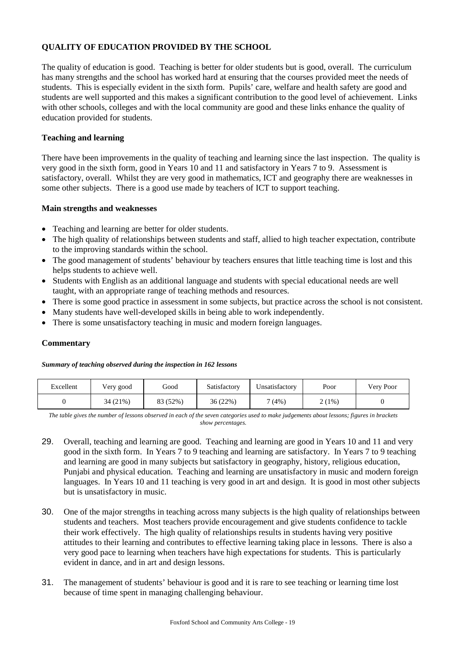## **QUALITY OF EDUCATION PROVIDED BY THE SCHOOL**

The quality of education is good. Teaching is better for older students but is good, overall. The curriculum has many strengths and the school has worked hard at ensuring that the courses provided meet the needs of students. This is especially evident in the sixth form. Pupils' care, welfare and health safety are good and students are well supported and this makes a significant contribution to the good level of achievement. Links with other schools, colleges and with the local community are good and these links enhance the quality of education provided for students.

#### **Teaching and learning**

There have been improvements in the quality of teaching and learning since the last inspection. The quality is very good in the sixth form, good in Years 10 and 11 and satisfactory in Years 7 to 9. Assessment is satisfactory, overall. Whilst they are very good in mathematics, ICT and geography there are weaknesses in some other subjects. There is a good use made by teachers of ICT to support teaching.

#### **Main strengths and weaknesses**

- Teaching and learning are better for older students.
- The high quality of relationships between students and staff, allied to high teacher expectation, contribute to the improving standards within the school.
- The good management of students' behaviour by teachers ensures that little teaching time is lost and this helps students to achieve well.
- Students with English as an additional language and students with special educational needs are well taught, with an appropriate range of teaching methods and resources.
- There is some good practice in assessment in some subjects, but practice across the school is not consistent.
- Many students have well-developed skills in being able to work independently.
- There is some unsatisfactory teaching in music and modern foreign languages.

#### **Commentary**

#### *Summary of teaching observed during the inspection in 162 lessons*

| Excellent | Very good | Good     | Satisfactory | Unsatisfactory | Poor  | Very Poor |
|-----------|-----------|----------|--------------|----------------|-------|-----------|
|           | 34 (21%)  | 83 (52%) | 36(22%)      | 7(4%)          | 2(1%) |           |

*The table gives the number of lessons observed in each of the seven categories used to make judgements about lessons; figures in brackets show percentages.*

- 29. Overall, teaching and learning are good. Teaching and learning are good in Years 10 and 11 and very good in the sixth form. In Years 7 to 9 teaching and learning are satisfactory. In Years 7 to 9 teaching and learning are good in many subjects but satisfactory in geography, history, religious education, Punjabi and physical education. Teaching and learning are unsatisfactory in music and modern foreign languages. In Years 10 and 11 teaching is very good in art and design. It is good in most other subjects but is unsatisfactory in music.
- 30. One of the major strengths in teaching across many subjects is the high quality of relationships between students and teachers. Most teachers provide encouragement and give students confidence to tackle their work effectively. The high quality of relationships results in students having very positive attitudes to their learning and contributes to effective learning taking place in lessons. There is also a very good pace to learning when teachers have high expectations for students. This is particularly evident in dance, and in art and design lessons.
- 31. The management of students' behaviour is good and it is rare to see teaching or learning time lost because of time spent in managing challenging behaviour.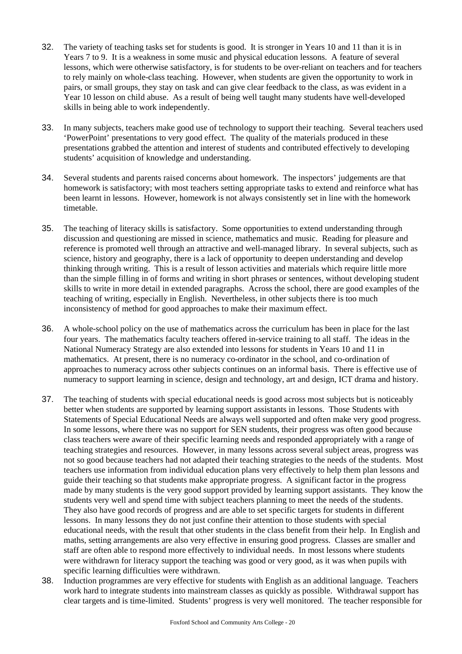- 32. The variety of teaching tasks set for students is good. It is stronger in Years 10 and 11 than it is in Years 7 to 9. It is a weakness in some music and physical education lessons. A feature of several lessons, which were otherwise satisfactory, is for students to be over-reliant on teachers and for teachers to rely mainly on whole-class teaching. However, when students are given the opportunity to work in pairs, or small groups, they stay on task and can give clear feedback to the class, as was evident in a Year 10 lesson on child abuse. As a result of being well taught many students have well-developed skills in being able to work independently.
- 33. In many subjects, teachers make good use of technology to support their teaching. Several teachers used 'PowerPoint' presentations to very good effect. The quality of the materials produced in these presentations grabbed the attention and interest of students and contributed effectively to developing students' acquisition of knowledge and understanding.
- 34. Several students and parents raised concerns about homework. The inspectors' judgements are that homework is satisfactory; with most teachers setting appropriate tasks to extend and reinforce what has been learnt in lessons. However, homework is not always consistently set in line with the homework timetable.
- 35. The teaching of literacy skills is satisfactory. Some opportunities to extend understanding through discussion and questioning are missed in science, mathematics and music. Reading for pleasure and reference is promoted well through an attractive and well-managed library. In several subjects, such as science, history and geography, there is a lack of opportunity to deepen understanding and develop thinking through writing. This is a result of lesson activities and materials which require little more than the simple filling in of forms and writing in short phrases or sentences, without developing student skills to write in more detail in extended paragraphs. Across the school, there are good examples of the teaching of writing, especially in English. Nevertheless, in other subjects there is too much inconsistency of method for good approaches to make their maximum effect.
- 36. A whole-school policy on the use of mathematics across the curriculum has been in place for the last four years. The mathematics faculty teachers offered in-service training to all staff. The ideas in the National Numeracy Strategy are also extended into lessons for students in Years 10 and 11 in mathematics. At present, there is no numeracy co-ordinator in the school, and co-ordination of approaches to numeracy across other subjects continues on an informal basis. There is effective use of numeracy to support learning in science, design and technology, art and design, ICT drama and history.
- 37. The teaching of students with special educational needs is good across most subjects but is noticeably better when students are supported by learning support assistants in lessons. Those Students with Statements of Special Educational Needs are always well supported and often make very good progress. In some lessons, where there was no support for SEN students, their progress was often good because class teachers were aware of their specific learning needs and responded appropriately with a range of teaching strategies and resources. However, in many lessons across several subject areas, progress was not so good because teachers had not adapted their teaching strategies to the needs of the students. Most teachers use information from individual education plans very effectively to help them plan lessons and guide their teaching so that students make appropriate progress. A significant factor in the progress made by many students is the very good support provided by learning support assistants. They know the students very well and spend time with subject teachers planning to meet the needs of the students. They also have good records of progress and are able to set specific targets for students in different lessons. In many lessons they do not just confine their attention to those students with special educational needs, with the result that other students in the class benefit from their help. In English and maths, setting arrangements are also very effective in ensuring good progress. Classes are smaller and staff are often able to respond more effectively to individual needs. In most lessons where students were withdrawn for literacy support the teaching was good or very good, as it was when pupils with specific learning difficulties were withdrawn.
- 38. Induction programmes are very effective for students with English as an additional language. Teachers work hard to integrate students into mainstream classes as quickly as possible. Withdrawal support has clear targets and is time-limited. Students' progress is very well monitored. The teacher responsible for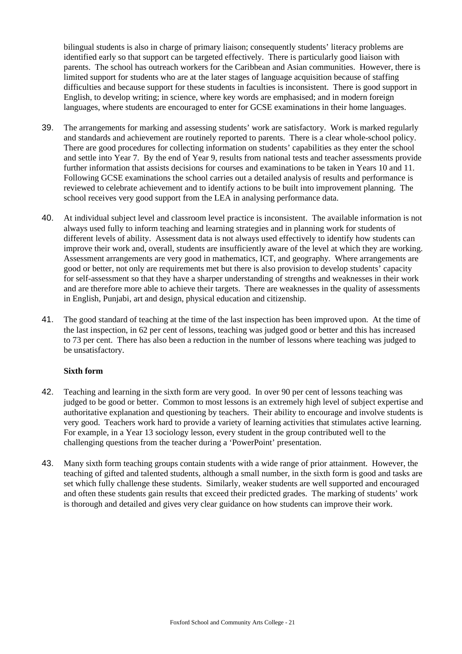bilingual students is also in charge of primary liaison; consequently students' literacy problems are identified early so that support can be targeted effectively. There is particularly good liaison with parents. The school has outreach workers for the Caribbean and Asian communities. However, there is limited support for students who are at the later stages of language acquisition because of staffing difficulties and because support for these students in faculties is inconsistent. There is good support in English, to develop writing; in science, where key words are emphasised; and in modern foreign languages, where students are encouraged to enter for GCSE examinations in their home languages.

- 39. The arrangements for marking and assessing students' work are satisfactory. Work is marked regularly and standards and achievement are routinely reported to parents. There is a clear whole-school policy. There are good procedures for collecting information on students' capabilities as they enter the school and settle into Year 7. By the end of Year 9, results from national tests and teacher assessments provide further information that assists decisions for courses and examinations to be taken in Years 10 and 11. Following GCSE examinations the school carries out a detailed analysis of results and performance is reviewed to celebrate achievement and to identify actions to be built into improvement planning. The school receives very good support from the LEA in analysing performance data.
- 40. At individual subject level and classroom level practice is inconsistent. The available information is not always used fully to inform teaching and learning strategies and in planning work for students of different levels of ability. Assessment data is not always used effectively to identify how students can improve their work and, overall, students are insufficiently aware of the level at which they are working. Assessment arrangements are very good in mathematics, ICT, and geography. Where arrangements are good or better, not only are requirements met but there is also provision to develop students' capacity for self-assessment so that they have a sharper understanding of strengths and weaknesses in their work and are therefore more able to achieve their targets. There are weaknesses in the quality of assessments in English, Punjabi, art and design, physical education and citizenship.
- 41. The good standard of teaching at the time of the last inspection has been improved upon. At the time of the last inspection, in 62 per cent of lessons, teaching was judged good or better and this has increased to 73 per cent. There has also been a reduction in the number of lessons where teaching was judged to be unsatisfactory.

#### **Sixth form**

- 42. Teaching and learning in the sixth form are very good. In over 90 per cent of lessons teaching was judged to be good or better. Common to most lessons is an extremely high level of subject expertise and authoritative explanation and questioning by teachers. Their ability to encourage and involve students is very good. Teachers work hard to provide a variety of learning activities that stimulates active learning. For example, in a Year 13 sociology lesson, every student in the group contributed well to the challenging questions from the teacher during a 'PowerPoint' presentation.
- 43. Many sixth form teaching groups contain students with a wide range of prior attainment. However, the teaching of gifted and talented students, although a small number, in the sixth form is good and tasks are set which fully challenge these students. Similarly, weaker students are well supported and encouraged and often these students gain results that exceed their predicted grades. The marking of students' work is thorough and detailed and gives very clear guidance on how students can improve their work.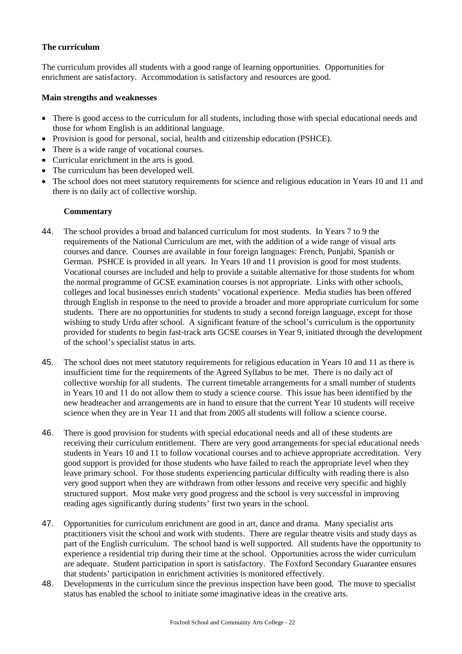### **The curriculum**

The curriculum provides all students with a good range of learning opportunities. Opportunities for enrichment are satisfactory. Accommodation is satisfactory and resources are good.

#### **Main strengths and weaknesses**

- There is good access to the curriculum for all students, including those with special educational needs and those for whom English is an additional language.
- Provision is good for personal, social, health and citizenship education (PSHCE).
- There is a wide range of vocational courses.
- Curricular enrichment in the arts is good.
- The curriculum has been developed well.
- The school does not meet statutory requirements for science and religious education in Years 10 and 11 and there is no daily act of collective worship.

- 44. The school provides a broad and balanced curriculum for most students. In Years 7 to 9 the requirements of the National Curriculum are met, with the addition of a wide range of visual arts courses and dance. Courses are available in four foreign languages: French, Punjabi, Spanish or German. PSHCE is provided in all years. In Years 10 and 11 provision is good for most students. Vocational courses are included and help to provide a suitable alternative for those students for whom the normal programme of GCSE examination courses is not appropriate. Links with other schools, colleges and local businesses enrich students' vocational experience. Media studies has been offered through English in response to the need to provide a broader and more appropriate curriculum for some students. There are no opportunities for students to study a second foreign language, except for those wishing to study Urdu after school. A significant feature of the school's curriculum is the opportunity provided for students to begin fast-track arts GCSE courses in Year 9, initiated through the development of the school's specialist status in arts.
- 45. The school does not meet statutory requirements for religious education in Years 10 and 11 as there is insufficient time for the requirements of the Agreed Syllabus to be met. There is no daily act of collective worship for all students. The current timetable arrangements for a small number of students in Years 10 and 11 do not allow them to study a science course. This issue has been identified by the new headteacher and arrangements are in hand to ensure that the current Year 10 students will receive science when they are in Year 11 and that from 2005 all students will follow a science course.
- 46. There is good provision for students with special educational needs and all of these students are receiving their curriculum entitlement. There are very good arrangements for special educational needs students in Years 10 and 11 to follow vocational courses and to achieve appropriate accreditation. Very good support is provided for those students who have failed to reach the appropriate level when they leave primary school. For those students experiencing particular difficulty with reading there is also very good support when they are withdrawn from other lessons and receive very specific and highly structured support. Most make very good progress and the school is very successful in improving reading ages significantly during students' first two years in the school.
- 47. Opportunities for curriculum enrichment are good in art, dance and drama. Many specialist arts practitioners visit the school and work with students. There are regular theatre visits and study days as part of the English curriculum. The school band is well supported. All students have the opportunity to experience a residential trip during their time at the school. Opportunities across the wider curriculum are adequate. Student participation in sport is satisfactory. The Foxford Secondary Guarantee ensures that students' participation in enrichment activities is monitored effectively.
- 48. Developments in the curriculum since the previous inspection have been good. The move to specialist status has enabled the school to initiate some imaginative ideas in the creative arts.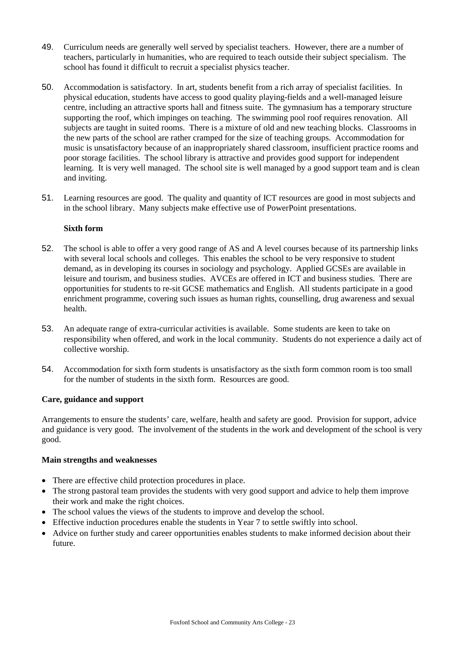- 49. Curriculum needs are generally well served by specialist teachers. However, there are a number of teachers, particularly in humanities, who are required to teach outside their subject specialism. The school has found it difficult to recruit a specialist physics teacher.
- 50. Accommodation is satisfactory. In art, students benefit from a rich array of specialist facilities. In physical education, students have access to good quality playing-fields and a well-managed leisure centre, including an attractive sports hall and fitness suite. The gymnasium has a temporary structure supporting the roof, which impinges on teaching. The swimming pool roof requires renovation. All subjects are taught in suited rooms. There is a mixture of old and new teaching blocks. Classrooms in the new parts of the school are rather cramped for the size of teaching groups. Accommodation for music is unsatisfactory because of an inappropriately shared classroom, insufficient practice rooms and poor storage facilities. The school library is attractive and provides good support for independent learning. It is very well managed. The school site is well managed by a good support team and is clean and inviting.
- 51. Learning resources are good. The quality and quantity of ICT resources are good in most subjects and in the school library. Many subjects make effective use of PowerPoint presentations.

### **Sixth form**

- 52. The school is able to offer a very good range of AS and A level courses because of its partnership links with several local schools and colleges. This enables the school to be very responsive to student demand, as in developing its courses in sociology and psychology. Applied GCSEs are available in leisure and tourism, and business studies. AVCEs are offered in ICT and business studies. There are opportunities for students to re-sit GCSE mathematics and English. All students participate in a good enrichment programme, covering such issues as human rights, counselling, drug awareness and sexual health.
- 53. An adequate range of extra-curricular activities is available. Some students are keen to take on responsibility when offered, and work in the local community. Students do not experience a daily act of collective worship.
- 54. Accommodation for sixth form students is unsatisfactory as the sixth form common room is too small for the number of students in the sixth form. Resources are good.

#### **Care, guidance and support**

Arrangements to ensure the students' care, welfare, health and safety are good. Provision for support, advice and guidance is very good. The involvement of the students in the work and development of the school is very good.

#### **Main strengths and weaknesses**

- There are effective child protection procedures in place.
- The strong pastoral team provides the students with very good support and advice to help them improve their work and make the right choices.
- The school values the views of the students to improve and develop the school.
- Effective induction procedures enable the students in Year 7 to settle swiftly into school.
- Advice on further study and career opportunities enables students to make informed decision about their future.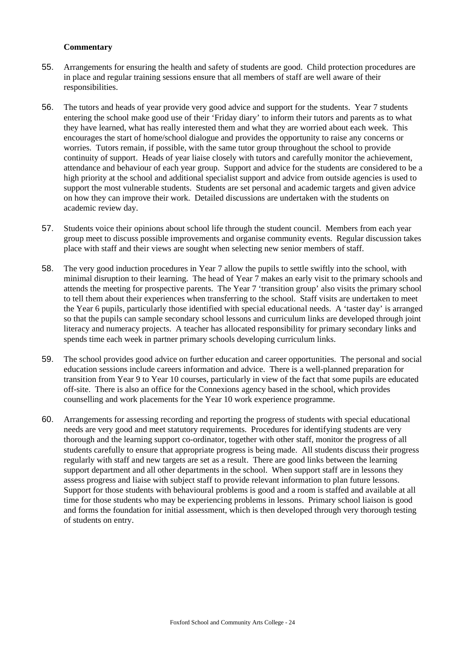- 55. Arrangements for ensuring the health and safety of students are good. Child protection procedures are in place and regular training sessions ensure that all members of staff are well aware of their responsibilities.
- 56. The tutors and heads of year provide very good advice and support for the students. Year 7 students entering the school make good use of their 'Friday diary' to inform their tutors and parents as to what they have learned, what has really interested them and what they are worried about each week. This encourages the start of home/school dialogue and provides the opportunity to raise any concerns or worries. Tutors remain, if possible, with the same tutor group throughout the school to provide continuity of support. Heads of year liaise closely with tutors and carefully monitor the achievement, attendance and behaviour of each year group. Support and advice for the students are considered to be a high priority at the school and additional specialist support and advice from outside agencies is used to support the most vulnerable students. Students are set personal and academic targets and given advice on how they can improve their work. Detailed discussions are undertaken with the students on academic review day.
- 57. Students voice their opinions about school life through the student council. Members from each year group meet to discuss possible improvements and organise community events. Regular discussion takes place with staff and their views are sought when selecting new senior members of staff.
- 58. The very good induction procedures in Year 7 allow the pupils to settle swiftly into the school, with minimal disruption to their learning. The head of Year 7 makes an early visit to the primary schools and attends the meeting for prospective parents. The Year 7 'transition group' also visits the primary school to tell them about their experiences when transferring to the school. Staff visits are undertaken to meet the Year 6 pupils, particularly those identified with special educational needs. A 'taster day' is arranged so that the pupils can sample secondary school lessons and curriculum links are developed through joint literacy and numeracy projects. A teacher has allocated responsibility for primary secondary links and spends time each week in partner primary schools developing curriculum links.
- 59. The school provides good advice on further education and career opportunities. The personal and social education sessions include careers information and advice. There is a well-planned preparation for transition from Year 9 to Year 10 courses, particularly in view of the fact that some pupils are educated off-site. There is also an office for the Connexions agency based in the school, which provides counselling and work placements for the Year 10 work experience programme.
- 60. Arrangements for assessing recording and reporting the progress of students with special educational needs are very good and meet statutory requirements. Procedures for identifying students are very thorough and the learning support co-ordinator, together with other staff, monitor the progress of all students carefully to ensure that appropriate progress is being made. All students discuss their progress regularly with staff and new targets are set as a result. There are good links between the learning support department and all other departments in the school. When support staff are in lessons they assess progress and liaise with subject staff to provide relevant information to plan future lessons. Support for those students with behavioural problems is good and a room is staffed and available at all time for those students who may be experiencing problems in lessons. Primary school liaison is good and forms the foundation for initial assessment, which is then developed through very thorough testing of students on entry.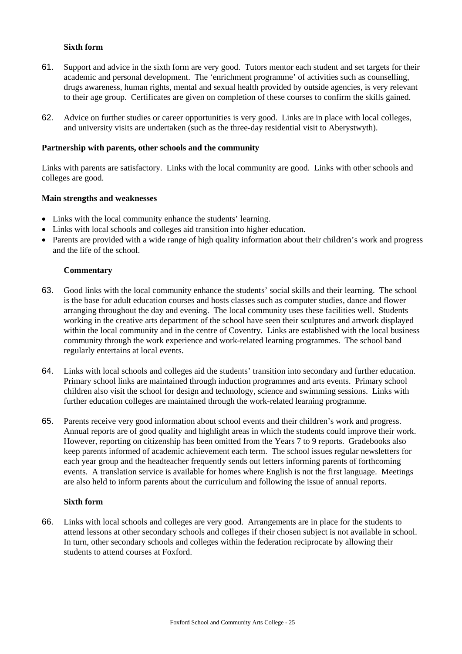#### **Sixth form**

- 61. Support and advice in the sixth form are very good. Tutors mentor each student and set targets for their academic and personal development. The 'enrichment programme' of activities such as counselling, drugs awareness, human rights, mental and sexual health provided by outside agencies, is very relevant to their age group. Certificates are given on completion of these courses to confirm the skills gained.
- 62. Advice on further studies or career opportunities is very good. Links are in place with local colleges, and university visits are undertaken (such as the three-day residential visit to Aberystwyth).

#### **Partnership with parents, other schools and the community**

Links with parents are satisfactory. Links with the local community are good. Links with other schools and colleges are good.

#### **Main strengths and weaknesses**

- Links with the local community enhance the students' learning.
- Links with local schools and colleges aid transition into higher education.
- Parents are provided with a wide range of high quality information about their children's work and progress and the life of the school.

#### **Commentary**

- 63. Good links with the local community enhance the students' social skills and their learning. The school is the base for adult education courses and hosts classes such as computer studies, dance and flower arranging throughout the day and evening. The local community uses these facilities well. Students working in the creative arts department of the school have seen their sculptures and artwork displayed within the local community and in the centre of Coventry. Links are established with the local business community through the work experience and work-related learning programmes. The school band regularly entertains at local events.
- 64. Links with local schools and colleges aid the students' transition into secondary and further education. Primary school links are maintained through induction programmes and arts events. Primary school children also visit the school for design and technology, science and swimming sessions. Links with further education colleges are maintained through the work-related learning programme.
- 65. Parents receive very good information about school events and their children's work and progress. Annual reports are of good quality and highlight areas in which the students could improve their work. However, reporting on citizenship has been omitted from the Years 7 to 9 reports. Gradebooks also keep parents informed of academic achievement each term. The school issues regular newsletters for each year group and the headteacher frequently sends out letters informing parents of forthcoming events. A translation service is available for homes where English is not the first language. Meetings are also held to inform parents about the curriculum and following the issue of annual reports.

#### **Sixth form**

66. Links with local schools and colleges are very good. Arrangements are in place for the students to attend lessons at other secondary schools and colleges if their chosen subject is not available in school. In turn, other secondary schools and colleges within the federation reciprocate by allowing their students to attend courses at Foxford.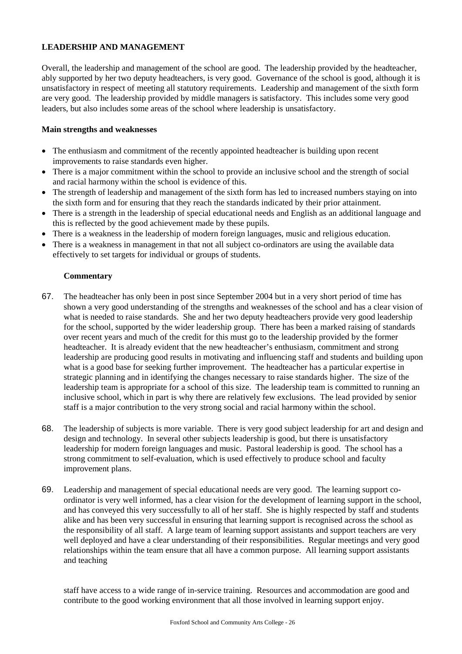## **LEADERSHIP AND MANAGEMENT**

Overall, the leadership and management of the school are good. The leadership provided by the headteacher, ably supported by her two deputy headteachers, is very good. Governance of the school is good, although it is unsatisfactory in respect of meeting all statutory requirements. Leadership and management of the sixth form are very good. The leadership provided by middle managers is satisfactory. This includes some very good leaders, but also includes some areas of the school where leadership is unsatisfactory.

#### **Main strengths and weaknesses**

- The enthusiasm and commitment of the recently appointed headteacher is building upon recent improvements to raise standards even higher.
- There is a major commitment within the school to provide an inclusive school and the strength of social and racial harmony within the school is evidence of this.
- The strength of leadership and management of the sixth form has led to increased numbers staying on into the sixth form and for ensuring that they reach the standards indicated by their prior attainment.
- There is a strength in the leadership of special educational needs and English as an additional language and this is reflected by the good achievement made by these pupils.
- There is a weakness in the leadership of modern foreign languages, music and religious education.
- There is a weakness in management in that not all subject co-ordinators are using the available data effectively to set targets for individual or groups of students.

### **Commentary**

- 67. The headteacher has only been in post since September 2004 but in a very short period of time has shown a very good understanding of the strengths and weaknesses of the school and has a clear vision of what is needed to raise standards. She and her two deputy headteachers provide very good leadership for the school, supported by the wider leadership group. There has been a marked raising of standards over recent years and much of the credit for this must go to the leadership provided by the former headteacher. It is already evident that the new headteacher's enthusiasm, commitment and strong leadership are producing good results in motivating and influencing staff and students and building upon what is a good base for seeking further improvement. The headteacher has a particular expertise in strategic planning and in identifying the changes necessary to raise standards higher. The size of the leadership team is appropriate for a school of this size. The leadership team is committed to running an inclusive school, which in part is why there are relatively few exclusions. The lead provided by senior staff is a major contribution to the very strong social and racial harmony within the school.
- 68. The leadership of subjects is more variable. There is very good subject leadership for art and design and design and technology. In several other subjects leadership is good, but there is unsatisfactory leadership for modern foreign languages and music. Pastoral leadership is good. The school has a strong commitment to self-evaluation, which is used effectively to produce school and faculty improvement plans.
- 69. Leadership and management of special educational needs are very good. The learning support coordinator is very well informed, has a clear vision for the development of learning support in the school, and has conveyed this very successfully to all of her staff. She is highly respected by staff and students alike and has been very successful in ensuring that learning support is recognised across the school as the responsibility of all staff. A large team of learning support assistants and support teachers are very well deployed and have a clear understanding of their responsibilities. Regular meetings and very good relationships within the team ensure that all have a common purpose. All learning support assistants and teaching

staff have access to a wide range of in-service training. Resources and accommodation are good and contribute to the good working environment that all those involved in learning support enjoy.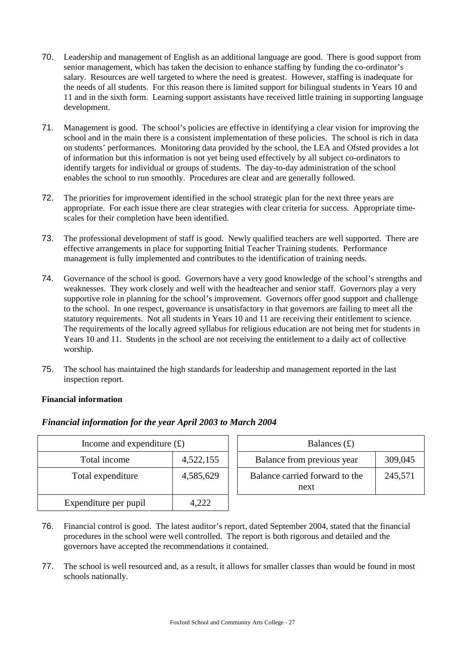- 70. Leadership and management of English as an additional language are good. There is good support from senior management, which has taken the decision to enhance staffing by funding the co-ordinator's salary. Resources are well targeted to where the need is greatest. However, staffing is inadequate for the needs of all students. For this reason there is limited support for bilingual students in Years 10 and 11 and in the sixth form. Learning support assistants have received little training in supporting language development.
- 71. Management is good. The school's policies are effective in identifying a clear vision for improving the school and in the main there is a consistent implementation of these policies. The school is rich in data on students' performances. Monitoring data provided by the school, the LEA and Ofsted provides a lot of information but this information is not yet being used effectively by all subject co-ordinators to identify targets for individual or groups of students. The day-to-day administration of the school enables the school to run smoothly. Procedures are clear and are generally followed.
- 72. The priorities for improvement identified in the school strategic plan for the next three years are appropriate. For each issue there are clear strategies with clear criteria for success. Appropriate timescales for their completion have been identified.
- 73. The professional development of staff is good. Newly qualified teachers are well supported. There are effective arrangements in place for supporting Initial Teacher Training students. Performance management is fully implemented and contributes to the identification of training needs.
- 74. Governance of the school is good. Governors have a very good knowledge of the school's strengths and weaknesses. They work closely and well with the headteacher and senior staff. Governors play a very supportive role in planning for the school's improvement. Governors offer good support and challenge to the school. In one respect, governance is unsatisfactory in that governors are failing to meet all the statutory requirements. Not all students in Years 10 and 11 are receiving their entitlement to science. The requirements of the locally agreed syllabus for religious education are not being met for students in Years 10 and 11. Students in the school are not receiving the entitlement to a daily act of collective worship.
- 75. The school has maintained the high standards for leadership and management reported in the last inspection report.

## **Financial information**

| Income and expenditure $(f)$ |           | Balances $(f)$                         |         |
|------------------------------|-----------|----------------------------------------|---------|
| Total income                 | 4,522,155 | Balance from previous year             | 309,045 |
| Total expenditure            | 4,585,629 | Balance carried forward to the<br>next | 245,571 |
| Expenditure per pupil        | 4,222     |                                        |         |

## *Financial information for the year April 2003 to March 2004*

- 76. Financial control is good. The latest auditor's report, dated September 2004, stated that the financial procedures in the school were well controlled. The report is both rigorous and detailed and the governors have accepted the recommendations it contained.
- 77. The school is well resourced and, as a result, it allows for smaller classes than would be found in most schools nationally.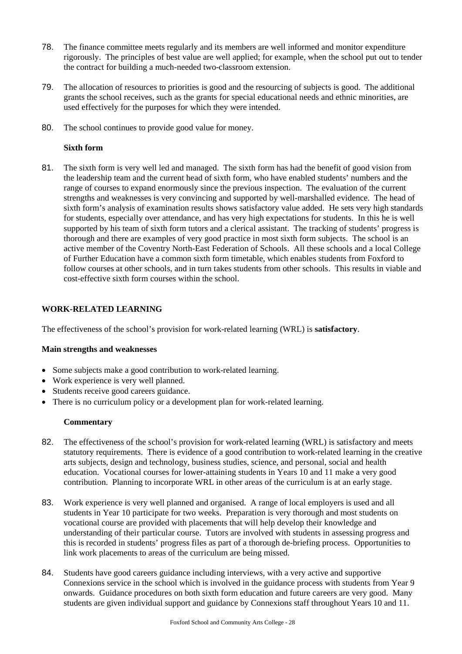- 78. The finance committee meets regularly and its members are well informed and monitor expenditure rigorously. The principles of best value are well applied; for example, when the school put out to tender the contract for building a much-needed two-classroom extension.
- 79. The allocation of resources to priorities is good and the resourcing of subjects is good. The additional grants the school receives, such as the grants for special educational needs and ethnic minorities, are used effectively for the purposes for which they were intended.
- 80. The school continues to provide good value for money.

### **Sixth form**

81. The sixth form is very well led and managed. The sixth form has had the benefit of good vision from the leadership team and the current head of sixth form, who have enabled students' numbers and the range of courses to expand enormously since the previous inspection. The evaluation of the current strengths and weaknesses is very convincing and supported by well-marshalled evidence. The head of sixth form's analysis of examination results shows satisfactory value added. He sets very high standards for students, especially over attendance, and has very high expectations for students. In this he is well supported by his team of sixth form tutors and a clerical assistant. The tracking of students' progress is thorough and there are examples of very good practice in most sixth form subjects. The school is an active member of the Coventry North-East Federation of Schools. All these schools and a local College of Further Education have a common sixth form timetable, which enables students from Foxford to follow courses at other schools, and in turn takes students from other schools. This results in viable and cost-effective sixth form courses within the school.

## **WORK-RELATED LEARNING**

The effectiveness of the school's provision for work-related learning (WRL) is **satisfactory**.

#### **Main strengths and weaknesses**

- Some subjects make a good contribution to work-related learning.
- Work experience is very well planned.
- Students receive good careers guidance.
- There is no curriculum policy or a development plan for work-related learning.

- 82. The effectiveness of the school's provision for work-related learning (WRL) is satisfactory and meets statutory requirements. There is evidence of a good contribution to work-related learning in the creative arts subjects, design and technology, business studies, science, and personal, social and health education. Vocational courses for lower-attaining students in Years 10 and 11 make a very good contribution. Planning to incorporate WRL in other areas of the curriculum is at an early stage.
- 83. Work experience is very well planned and organised. A range of local employers is used and all students in Year 10 participate for two weeks. Preparation is very thorough and most students on vocational course are provided with placements that will help develop their knowledge and understanding of their particular course. Tutors are involved with students in assessing progress and this is recorded in students' progress files as part of a thorough de-briefing process. Opportunities to link work placements to areas of the curriculum are being missed.
- 84. Students have good careers guidance including interviews, with a very active and supportive Connexions service in the school which is involved in the guidance process with students from Year 9 onwards. Guidance procedures on both sixth form education and future careers are very good. Many students are given individual support and guidance by Connexions staff throughout Years 10 and 11.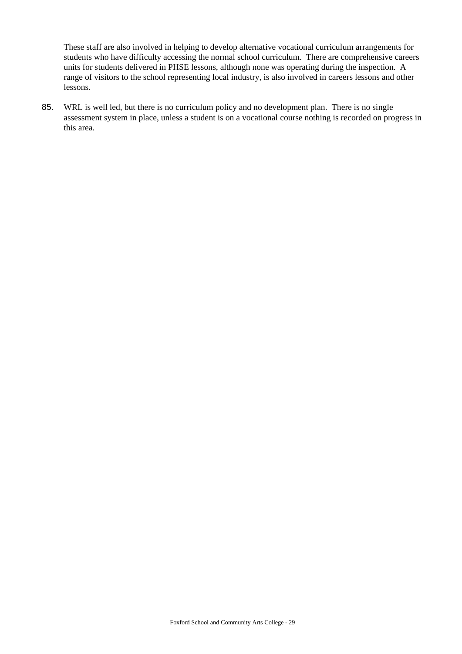These staff are also involved in helping to develop alternative vocational curriculum arrangements for students who have difficulty accessing the normal school curriculum. There are comprehensive careers units for students delivered in PHSE lessons, although none was operating during the inspection. A range of visitors to the school representing local industry, is also involved in careers lessons and other lessons.

85. WRL is well led, but there is no curriculum policy and no development plan. There is no single assessment system in place, unless a student is on a vocational course nothing is recorded on progress in this area.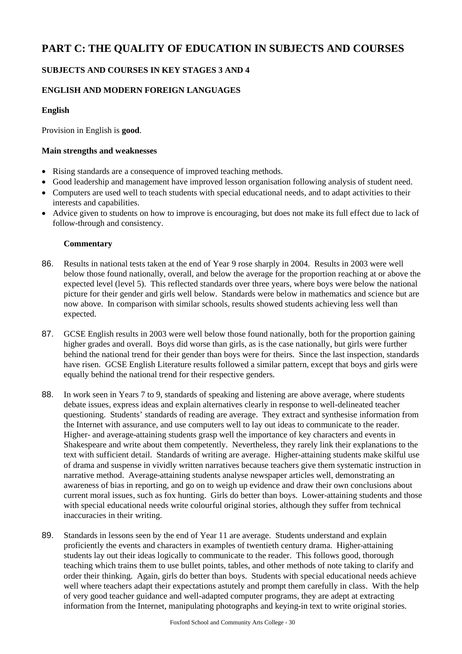# **PART C: THE QUALITY OF EDUCATION IN SUBJECTS AND COURSES**

## **SUBJECTS AND COURSES IN KEY STAGES 3 AND 4**

## **ENGLISH AND MODERN FOREIGN LANGUAGES**

## **English**

Provision in English is **good**.

#### **Main strengths and weaknesses**

- Rising standards are a consequence of improved teaching methods.
- Good leadership and management have improved lesson organisation following analysis of student need.
- Computers are used well to teach students with special educational needs, and to adapt activities to their interests and capabilities.
- Advice given to students on how to improve is encouraging, but does not make its full effect due to lack of follow-through and consistency.

- 86. Results in national tests taken at the end of Year 9 rose sharply in 2004. Results in 2003 were well below those found nationally, overall, and below the average for the proportion reaching at or above the expected level (level 5). This reflected standards over three years, where boys were below the national picture for their gender and girls well below. Standards were below in mathematics and science but are now above. In comparison with similar schools, results showed students achieving less well than expected.
- 87. GCSE English results in 2003 were well below those found nationally, both for the proportion gaining higher grades and overall. Boys did worse than girls, as is the case nationally, but girls were further behind the national trend for their gender than boys were for theirs. Since the last inspection, standards have risen. GCSE English Literature results followed a similar pattern, except that boys and girls were equally behind the national trend for their respective genders.
- 88. In work seen in Years 7 to 9, standards of speaking and listening are above average, where students debate issues, express ideas and explain alternatives clearly in response to well-delineated teacher questioning. Students' standards of reading are average. They extract and synthesise information from the Internet with assurance, and use computers well to lay out ideas to communicate to the reader. Higher- and average-attaining students grasp well the importance of key characters and events in Shakespeare and write about them competently. Nevertheless, they rarely link their explanations to the text with sufficient detail. Standards of writing are average. Higher-attaining students make skilful use of drama and suspense in vividly written narratives because teachers give them systematic instruction in narrative method. Average-attaining students analyse newspaper articles well, demonstrating an awareness of bias in reporting, and go on to weigh up evidence and draw their own conclusions about current moral issues, such as fox hunting. Girls do better than boys. Lower-attaining students and those with special educational needs write colourful original stories, although they suffer from technical inaccuracies in their writing.
- 89. Standards in lessons seen by the end of Year 11 are average. Students understand and explain proficiently the events and characters in examples of twentieth century drama. Higher-attaining students lay out their ideas logically to communicate to the reader. This follows good, thorough teaching which trains them to use bullet points, tables, and other methods of note taking to clarify and order their thinking. Again, girls do better than boys. Students with special educational needs achieve well where teachers adapt their expectations astutely and prompt them carefully in class. With the help of very good teacher guidance and well-adapted computer programs, they are adept at extracting information from the Internet, manipulating photographs and keying-in text to write original stories.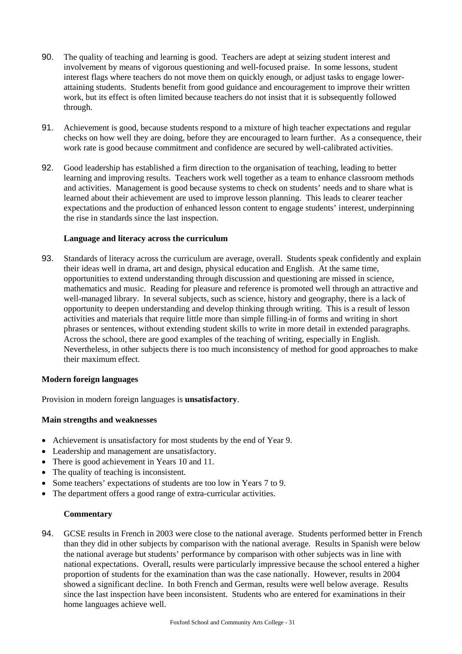- 90. The quality of teaching and learning is good. Teachers are adept at seizing student interest and involvement by means of vigorous questioning and well-focused praise. In some lessons, student interest flags where teachers do not move them on quickly enough, or adjust tasks to engage lowerattaining students. Students benefit from good guidance and encouragement to improve their written work, but its effect is often limited because teachers do not insist that it is subsequently followed through.
- 91. Achievement is good, because students respond to a mixture of high teacher expectations and regular checks on how well they are doing, before they are encouraged to learn further. As a consequence, their work rate is good because commitment and confidence are secured by well-calibrated activities.
- 92. Good leadership has established a firm direction to the organisation of teaching, leading to better learning and improving results. Teachers work well together as a team to enhance classroom methods and activities. Management is good because systems to check on students' needs and to share what is learned about their achievement are used to improve lesson planning. This leads to clearer teacher expectations and the production of enhanced lesson content to engage students' interest, underpinning the rise in standards since the last inspection.

### **Language and literacy across the curriculum**

93. Standards of literacy across the curriculum are average, overall. Students speak confidently and explain their ideas well in drama, art and design, physical education and English. At the same time, opportunities to extend understanding through discussion and questioning are missed in science, mathematics and music. Reading for pleasure and reference is promoted well through an attractive and well-managed library. In several subjects, such as science, history and geography, there is a lack of opportunity to deepen understanding and develop thinking through writing. This is a result of lesson activities and materials that require little more than simple filling-in of forms and writing in short phrases or sentences, without extending student skills to write in more detail in extended paragraphs. Across the school, there are good examples of the teaching of writing, especially in English. Nevertheless, in other subjects there is too much inconsistency of method for good approaches to make their maximum effect.

#### **Modern foreign languages**

Provision in modern foreign languages is **unsatisfactory**.

#### **Main strengths and weaknesses**

- Achievement is unsatisfactory for most students by the end of Year 9.
- Leadership and management are unsatisfactory.
- There is good achievement in Years 10 and 11.
- The quality of teaching is inconsistent.
- Some teachers' expectations of students are too low in Years 7 to 9.
- The department offers a good range of extra-curricular activities.

#### **Commentary**

94. GCSE results in French in 2003 were close to the national average. Students performed better in French than they did in other subjects by comparison with the national average. Results in Spanish were below the national average but students' performance by comparison with other subjects was in line with national expectations. Overall, results were particularly impressive because the school entered a higher proportion of students for the examination than was the case nationally. However, results in 2004 showed a significant decline. In both French and German, results were well below average. Results since the last inspection have been inconsistent. Students who are entered for examinations in their home languages achieve well.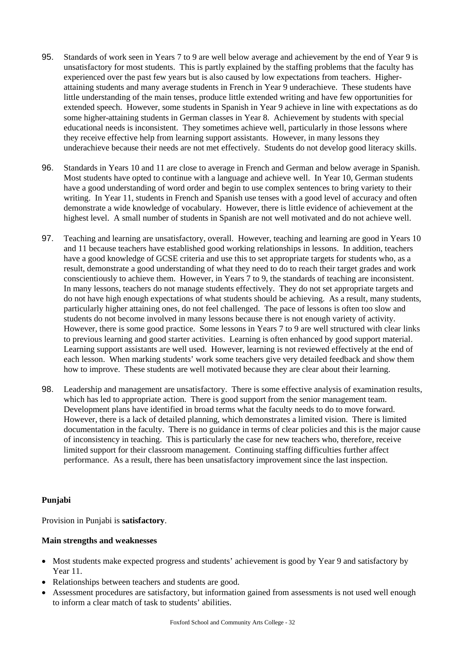- 95. Standards of work seen in Years 7 to 9 are well below average and achievement by the end of Year 9 is unsatisfactory for most students. This is partly explained by the staffing problems that the faculty has experienced over the past few years but is also caused by low expectations from teachers. Higherattaining students and many average students in French in Year 9 underachieve. These students have little understanding of the main tenses, produce little extended writing and have few opportunities for extended speech. However, some students in Spanish in Year 9 achieve in line with expectations as do some higher-attaining students in German classes in Year 8. Achievement by students with special educational needs is inconsistent. They sometimes achieve well, particularly in those lessons where they receive effective help from learning support assistants. However, in many lessons they underachieve because their needs are not met effectively. Students do not develop good literacy skills.
- 96. Standards in Years 10 and 11 are close to average in French and German and below average in Spanish. Most students have opted to continue with a language and achieve well. In Year 10, German students have a good understanding of word order and begin to use complex sentences to bring variety to their writing. In Year 11, students in French and Spanish use tenses with a good level of accuracy and often demonstrate a wide knowledge of vocabulary. However, there is little evidence of achievement at the highest level. A small number of students in Spanish are not well motivated and do not achieve well.
- 97. Teaching and learning are unsatisfactory, overall. However, teaching and learning are good in Years 10 and 11 because teachers have established good working relationships in lessons. In addition, teachers have a good knowledge of GCSE criteria and use this to set appropriate targets for students who, as a result, demonstrate a good understanding of what they need to do to reach their target grades and work conscientiously to achieve them. However, in Years 7 to 9, the standards of teaching are inconsistent. In many lessons, teachers do not manage students effectively. They do not set appropriate targets and do not have high enough expectations of what students should be achieving. As a result, many students, particularly higher attaining ones, do not feel challenged. The pace of lessons is often too slow and students do not become involved in many lessons because there is not enough variety of activity. However, there is some good practice. Some lessons in Years 7 to 9 are well structured with clear links to previous learning and good starter activities. Learning is often enhanced by good support material. Learning support assistants are well used. However, learning is not reviewed effectively at the end of each lesson. When marking students' work some teachers give very detailed feedback and show them how to improve. These students are well motivated because they are clear about their learning.
- 98. Leadership and management are unsatisfactory. There is some effective analysis of examination results, which has led to appropriate action. There is good support from the senior management team. Development plans have identified in broad terms what the faculty needs to do to move forward. However, there is a lack of detailed planning, which demonstrates a limited vision. There is limited documentation in the faculty. There is no guidance in terms of clear policies and this is the major cause of inconsistency in teaching. This is particularly the case for new teachers who, therefore, receive limited support for their classroom management. Continuing staffing difficulties further affect performance. As a result, there has been unsatisfactory improvement since the last inspection.

## **Punjabi**

Provision in Punjabi is **satisfactory**.

#### **Main strengths and weaknesses**

- Most students make expected progress and students' achievement is good by Year 9 and satisfactory by Year 11.
- Relationships between teachers and students are good.
- Assessment procedures are satisfactory, but information gained from assessments is not used well enough to inform a clear match of task to students' abilities.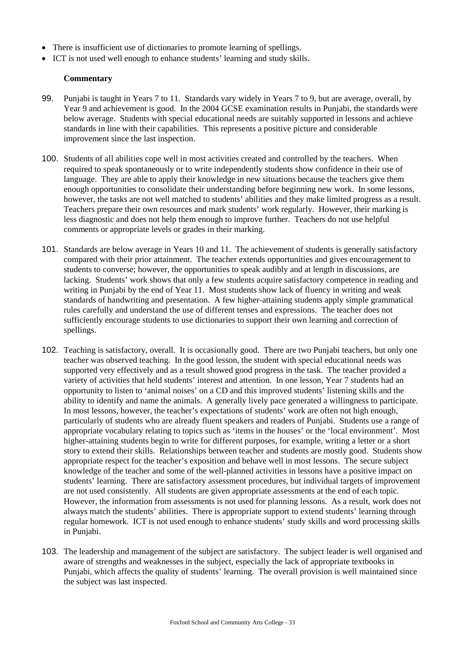- There is insufficient use of dictionaries to promote learning of spellings.
- ICT is not used well enough to enhance students' learning and study skills.

- 99. Punjabi is taught in Years 7 to 11. Standards vary widely in Years 7 to 9, but are average, overall, by Year 9 and achievement is good. In the 2004 GCSE examination results in Punjabi, the standards were below average. Students with special educational needs are suitably supported in lessons and achieve standards in line with their capabilities. This represents a positive picture and considerable improvement since the last inspection.
- 100. Students of all abilities cope well in most activities created and controlled by the teachers. When required to speak spontaneously or to write independently students show confidence in their use of language. They are able to apply their knowledge in new situations because the teachers give them enough opportunities to consolidate their understanding before beginning new work. In some lessons, however, the tasks are not well matched to students' abilities and they make limited progress as a result. Teachers prepare their own resources and mark students' work regularly. However, their marking is less diagnostic and does not help them enough to improve further. Teachers do not use helpful comments or appropriate levels or grades in their marking.
- 101. Standards are below average in Years 10 and 11. The achievement of students is generally satisfactory compared with their prior attainment. The teacher extends opportunities and gives encouragement to students to converse; however, the opportunities to speak audibly and at length in discussions, are lacking. Students' work shows that only a few students acquire satisfactory competence in reading and writing in Punjabi by the end of Year 11. Most students show lack of fluency in writing and weak standards of handwriting and presentation. A few higher-attaining students apply simple grammatical rules carefully and understand the use of different tenses and expressions. The teacher does not sufficiently encourage students to use dictionaries to support their own learning and correction of spellings.
- 102. Teaching is satisfactory, overall. It is occasionally good. There are two Punjabi teachers, but only one teacher was observed teaching. In the good lesson, the student with special educational needs was supported very effectively and as a result showed good progress in the task. The teacher provided a variety of activities that held students' interest and attention. In one lesson, Year 7 students had an opportunity to listen to 'animal noises' on a CD and this improved students' listening skills and the ability to identify and name the animals. A generally lively pace generated a willingness to participate. In most lessons, however, the teacher's expectations of students' work are often not high enough, particularly of students who are already fluent speakers and readers of Punjabi. Students use a range of appropriate vocabulary relating to topics such as 'items in the houses' or the 'local environment'. Most higher-attaining students begin to write for different purposes, for example, writing a letter or a short story to extend their skills. Relationships between teacher and students are mostly good. Students show appropriate respect for the teacher's exposition and behave well in most lessons. The secure subject knowledge of the teacher and some of the well-planned activities in lessons have a positive impact on students' learning. There are satisfactory assessment procedures, but individual targets of improvement are not used consistently. All students are given appropriate assessments at the end of each topic. However, the information from assessments is not used for planning lessons. As a result, work does not always match the students' abilities. There is appropriate support to extend students' learning through regular homework. ICT is not used enough to enhance students' study skills and word processing skills in Punjabi.
- 103. The leadership and management of the subject are satisfactory. The subject leader is well organised and aware of strengths and weaknesses in the subject, especially the lack of appropriate textbooks in Punjabi, which affects the quality of students' learning. The overall provision is well maintained since the subject was last inspected.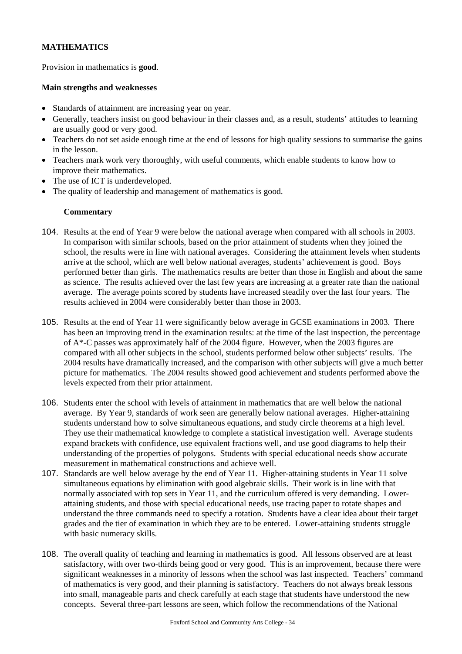## **MATHEMATICS**

Provision in mathematics is **good**.

#### **Main strengths and weaknesses**

- Standards of attainment are increasing year on year.
- Generally, teachers insist on good behaviour in their classes and, as a result, students' attitudes to learning are usually good or very good.
- Teachers do not set aside enough time at the end of lessons for high quality sessions to summarise the gains in the lesson.
- Teachers mark work very thoroughly, with useful comments, which enable students to know how to improve their mathematics.
- The use of ICT is underdeveloped.
- The quality of leadership and management of mathematics is good.

- 104. Results at the end of Year 9 were below the national average when compared with all schools in 2003. In comparison with similar schools, based on the prior attainment of students when they joined the school, the results were in line with national averages. Considering the attainment levels when students arrive at the school, which are well below national averages, students' achievement is good. Boys performed better than girls. The mathematics results are better than those in English and about the same as science. The results achieved over the last few years are increasing at a greater rate than the national average. The average points scored by students have increased steadily over the last four years. The results achieved in 2004 were considerably better than those in 2003.
- 105. Results at the end of Year 11 were significantly below average in GCSE examinations in 2003. There has been an improving trend in the examination results: at the time of the last inspection, the percentage of A\*-C passes was approximately half of the 2004 figure. However, when the 2003 figures are compared with all other subjects in the school, students performed below other subjects' results. The 2004 results have dramatically increased, and the comparison with other subjects will give a much better picture for mathematics. The 2004 results showed good achievement and students performed above the levels expected from their prior attainment.
- 106. Students enter the school with levels of attainment in mathematics that are well below the national average. By Year 9, standards of work seen are generally below national averages. Higher-attaining students understand how to solve simultaneous equations, and study circle theorems at a high level. They use their mathematical knowledge to complete a statistical investigation well. Average students expand brackets with confidence, use equivalent fractions well, and use good diagrams to help their understanding of the properties of polygons. Students with special educational needs show accurate measurement in mathematical constructions and achieve well.
- 107. Standards are well below average by the end of Year 11. Higher-attaining students in Year 11 solve simultaneous equations by elimination with good algebraic skills. Their work is in line with that normally associated with top sets in Year 11, and the curriculum offered is very demanding. Lowerattaining students, and those with special educational needs, use tracing paper to rotate shapes and understand the three commands need to specify a rotation. Students have a clear idea about their target grades and the tier of examination in which they are to be entered. Lower-attaining students struggle with basic numeracy skills.
- 108. The overall quality of teaching and learning in mathematics is good. All lessons observed are at least satisfactory, with over two-thirds being good or very good. This is an improvement, because there were significant weaknesses in a minority of lessons when the school was last inspected. Teachers' command of mathematics is very good, and their planning is satisfactory. Teachers do not always break lessons into small, manageable parts and check carefully at each stage that students have understood the new concepts. Several three-part lessons are seen, which follow the recommendations of the National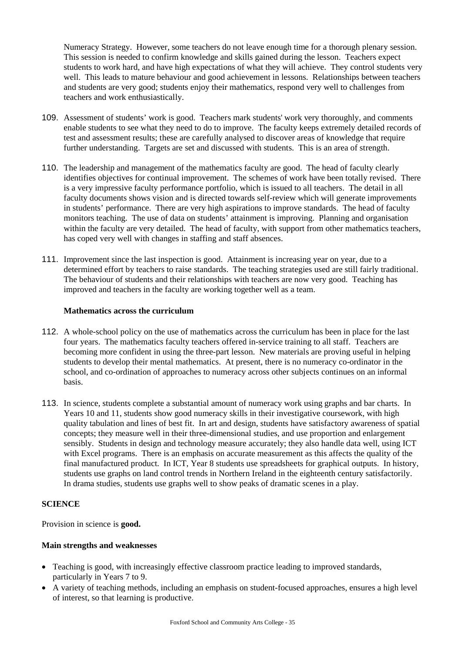Numeracy Strategy. However, some teachers do not leave enough time for a thorough plenary session. This session is needed to confirm knowledge and skills gained during the lesson. Teachers expect students to work hard, and have high expectations of what they will achieve. They control students very well. This leads to mature behaviour and good achievement in lessons. Relationships between teachers and students are very good; students enjoy their mathematics, respond very well to challenges from teachers and work enthusiastically.

- 109. Assessment of students' work is good. Teachers mark students' work very thoroughly, and comments enable students to see what they need to do to improve. The faculty keeps extremely detailed records of test and assessment results; these are carefully analysed to discover areas of knowledge that require further understanding. Targets are set and discussed with students. This is an area of strength.
- 110. The leadership and management of the mathematics faculty are good. The head of faculty clearly identifies objectives for continual improvement. The schemes of work have been totally revised. There is a very impressive faculty performance portfolio, which is issued to all teachers. The detail in all faculty documents shows vision and is directed towards self-review which will generate improvements in students' performance. There are very high aspirations to improve standards. The head of faculty monitors teaching. The use of data on students' attainment is improving. Planning and organisation within the faculty are very detailed. The head of faculty, with support from other mathematics teachers, has coped very well with changes in staffing and staff absences.
- 111. Improvement since the last inspection is good. Attainment is increasing year on year, due to a determined effort by teachers to raise standards. The teaching strategies used are still fairly traditional. The behaviour of students and their relationships with teachers are now very good. Teaching has improved and teachers in the faculty are working together well as a team.

### **Mathematics across the curriculum**

- 112. A whole-school policy on the use of mathematics across the curriculum has been in place for the last four years. The mathematics faculty teachers offered in-service training to all staff. Teachers are becoming more confident in using the three-part lesson. New materials are proving useful in helping students to develop their mental mathematics. At present, there is no numeracy co-ordinator in the school, and co-ordination of approaches to numeracy across other subjects continues on an informal basis.
- 113. In science, students complete a substantial amount of numeracy work using graphs and bar charts. In Years 10 and 11, students show good numeracy skills in their investigative coursework, with high quality tabulation and lines of best fit. In art and design, students have satisfactory awareness of spatial concepts; they measure well in their three-dimensional studies, and use proportion and enlargement sensibly. Students in design and technology measure accurately; they also handle data well, using ICT with Excel programs. There is an emphasis on accurate measurement as this affects the quality of the final manufactured product. In ICT, Year 8 students use spreadsheets for graphical outputs. In history, students use graphs on land control trends in Northern Ireland in the eighteenth century satisfactorily. In drama studies, students use graphs well to show peaks of dramatic scenes in a play.

## **SCIENCE**

Provision in science is **good.** 

#### **Main strengths and weaknesses**

- Teaching is good, with increasingly effective classroom practice leading to improved standards, particularly in Years 7 to 9.
- A variety of teaching methods, including an emphasis on student-focused approaches, ensures a high level of interest, so that learning is productive.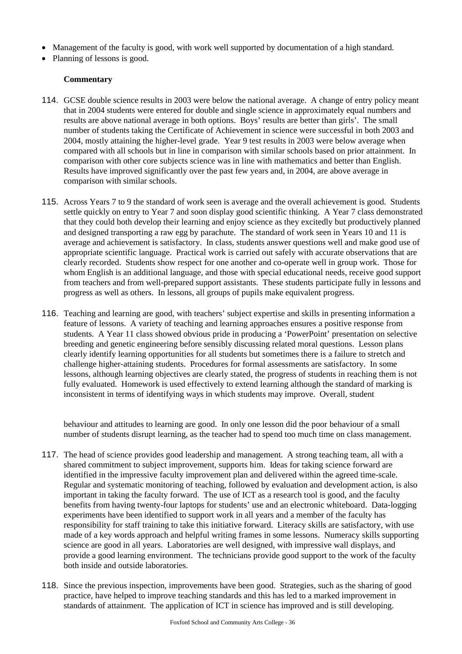- Management of the faculty is good, with work well supported by documentation of a high standard.
- Planning of lessons is good.

#### **Commentary**

- 114. GCSE double science results in 2003 were below the national average. A change of entry policy meant that in 2004 students were entered for double and single science in approximately equal numbers and results are above national average in both options. Boys' results are better than girls'. The small number of students taking the Certificate of Achievement in science were successful in both 2003 and 2004, mostly attaining the higher-level grade. Year 9 test results in 2003 were below average when compared with all schools but in line in comparison with similar schools based on prior attainment. In comparison with other core subjects science was in line with mathematics and better than English. Results have improved significantly over the past few years and, in 2004, are above average in comparison with similar schools.
- 115. Across Years 7 to 9 the standard of work seen is average and the overall achievement is good. Students settle quickly on entry to Year 7 and soon display good scientific thinking. A Year 7 class demonstrated that they could both develop their learning and enjoy science as they excitedly but productively planned and designed transporting a raw egg by parachute. The standard of work seen in Years 10 and 11 is average and achievement is satisfactory. In class, students answer questions well and make good use of appropriate scientific language. Practical work is carried out safely with accurate observations that are clearly recorded. Students show respect for one another and co-operate well in group work. Those for whom English is an additional language, and those with special educational needs, receive good support from teachers and from well-prepared support assistants. These students participate fully in lessons and progress as well as others. In lessons, all groups of pupils make equivalent progress.
- 116. Teaching and learning are good, with teachers' subject expertise and skills in presenting information a feature of lessons. A variety of teaching and learning approaches ensures a positive response from students. A Year 11 class showed obvious pride in producing a 'PowerPoint' presentation on selective breeding and genetic engineering before sensibly discussing related moral questions. Lesson plans clearly identify learning opportunities for all students but sometimes there is a failure to stretch and challenge higher-attaining students. Procedures for formal assessments are satisfactory. In some lessons, although learning objectives are clearly stated, the progress of students in reaching them is not fully evaluated. Homework is used effectively to extend learning although the standard of marking is inconsistent in terms of identifying ways in which students may improve. Overall, student

behaviour and attitudes to learning are good. In only one lesson did the poor behaviour of a small number of students disrupt learning, as the teacher had to spend too much time on class management.

- 117. The head of science provides good leadership and management. A strong teaching team, all with a shared commitment to subject improvement, supports him. Ideas for taking science forward are identified in the impressive faculty improvement plan and delivered within the agreed time-scale. Regular and systematic monitoring of teaching, followed by evaluation and development action, is also important in taking the faculty forward. The use of ICT as a research tool is good, and the faculty benefits from having twenty-four laptops for students' use and an electronic whiteboard. Data-logging experiments have been identified to support work in all years and a member of the faculty has responsibility for staff training to take this initiative forward. Literacy skills are satisfactory, with use made of a key words approach and helpful writing frames in some lessons. Numeracy skills supporting science are good in all years. Laboratories are well designed, with impressive wall displays, and provide a good learning environment. The technicians provide good support to the work of the faculty both inside and outside laboratories.
- 118. Since the previous inspection, improvements have been good. Strategies, such as the sharing of good practice, have helped to improve teaching standards and this has led to a marked improvement in standards of attainment. The application of ICT in science has improved and is still developing.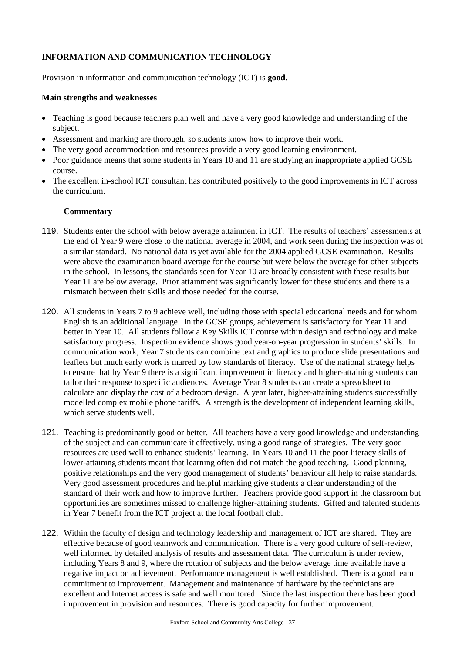## **INFORMATION AND COMMUNICATION TECHNOLOGY**

Provision in information and communication technology (ICT) is **good.**

#### **Main strengths and weaknesses**

- Teaching is good because teachers plan well and have a very good knowledge and understanding of the subject.
- Assessment and marking are thorough, so students know how to improve their work.
- The very good accommodation and resources provide a very good learning environment.
- Poor guidance means that some students in Years 10 and 11 are studying an inappropriate applied GCSE course.
- The excellent in-school ICT consultant has contributed positively to the good improvements in ICT across the curriculum.

- 119. Students enter the school with below average attainment in ICT. The results of teachers' assessments at the end of Year 9 were close to the national average in 2004, and work seen during the inspection was of a similar standard. No national data is yet available for the 2004 applied GCSE examination. Results were above the examination board average for the course but were below the average for other subjects in the school. In lessons, the standards seen for Year 10 are broadly consistent with these results but Year 11 are below average. Prior attainment was significantly lower for these students and there is a mismatch between their skills and those needed for the course.
- 120. All students in Years 7 to 9 achieve well, including those with special educational needs and for whom English is an additional language. In the GCSE groups, achievement is satisfactory for Year 11 and better in Year 10. All students follow a Key Skills ICT course within design and technology and make satisfactory progress. Inspection evidence shows good year-on-year progression in students' skills. In communication work, Year 7 students can combine text and graphics to produce slide presentations and leaflets but much early work is marred by low standards of literacy. Use of the national strategy helps to ensure that by Year 9 there is a significant improvement in literacy and higher-attaining students can tailor their response to specific audiences. Average Year 8 students can create a spreadsheet to calculate and display the cost of a bedroom design. A year later, higher-attaining students successfully modelled complex mobile phone tariffs. A strength is the development of independent learning skills, which serve students well.
- 121. Teaching is predominantly good or better. All teachers have a very good knowledge and understanding of the subject and can communicate it effectively, using a good range of strategies. The very good resources are used well to enhance students' learning. In Years 10 and 11 the poor literacy skills of lower-attaining students meant that learning often did not match the good teaching. Good planning, positive relationships and the very good management of students' behaviour all help to raise standards. Very good assessment procedures and helpful marking give students a clear understanding of the standard of their work and how to improve further. Teachers provide good support in the classroom but opportunities are sometimes missed to challenge higher-attaining students. Gifted and talented students in Year 7 benefit from the ICT project at the local football club.
- 122. Within the faculty of design and technology leadership and management of ICT are shared. They are effective because of good teamwork and communication. There is a very good culture of self-review, well informed by detailed analysis of results and assessment data. The curriculum is under review, including Years 8 and 9, where the rotation of subjects and the below average time available have a negative impact on achievement. Performance management is well established. There is a good team commitment to improvement. Management and maintenance of hardware by the technicians are excellent and Internet access is safe and well monitored. Since the last inspection there has been good improvement in provision and resources. There is good capacity for further improvement.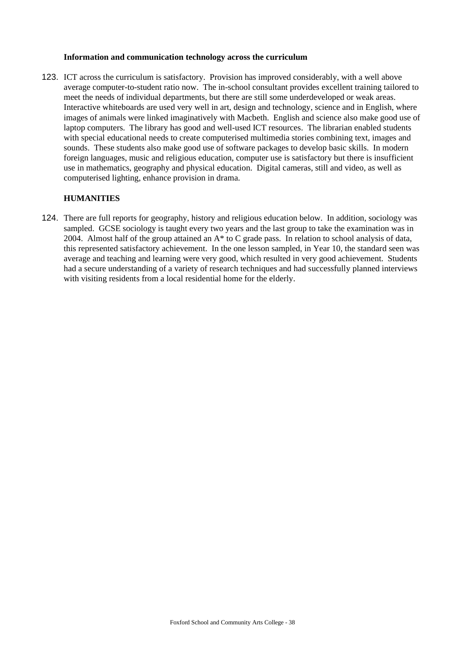#### **Information and communication technology across the curriculum**

123. ICT across the curriculum is satisfactory. Provision has improved considerably, with a well above average computer-to-student ratio now. The in-school consultant provides excellent training tailored to meet the needs of individual departments, but there are still some underdeveloped or weak areas. Interactive whiteboards are used very well in art, design and technology, science and in English, where images of animals were linked imaginatively with Macbeth. English and science also make good use of laptop computers. The library has good and well-used ICT resources. The librarian enabled students with special educational needs to create computerised multimedia stories combining text, images and sounds. These students also make good use of software packages to develop basic skills. In modern foreign languages, music and religious education, computer use is satisfactory but there is insufficient use in mathematics, geography and physical education. Digital cameras, still and video, as well as computerised lighting, enhance provision in drama.

### **HUMANITIES**

124. There are full reports for geography, history and religious education below. In addition, sociology was sampled. GCSE sociology is taught every two years and the last group to take the examination was in 2004. Almost half of the group attained an  $A^*$  to C grade pass. In relation to school analysis of data, this represented satisfactory achievement. In the one lesson sampled, in Year 10, the standard seen was average and teaching and learning were very good, which resulted in very good achievement. Students had a secure understanding of a variety of research techniques and had successfully planned interviews with visiting residents from a local residential home for the elderly.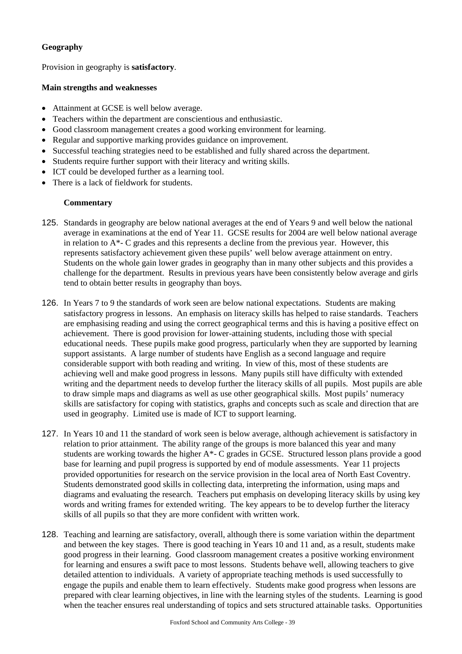## **Geography**

Provision in geography is **satisfactory**.

### **Main strengths and weaknesses**

- Attainment at GCSE is well below average.
- Teachers within the department are conscientious and enthusiastic.
- Good classroom management creates a good working environment for learning.
- Regular and supportive marking provides guidance on improvement.
- Successful teaching strategies need to be established and fully shared across the department.
- Students require further support with their literacy and writing skills.
- ICT could be developed further as a learning tool.
- There is a lack of fieldwork for students.

- 125. Standards in geography are below national averages at the end of Years 9 and well below the national average in examinations at the end of Year 11. GCSE results for 2004 are well below national average in relation to  $A^*$ - C grades and this represents a decline from the previous year. However, this represents satisfactory achievement given these pupils' well below average attainment on entry. Students on the whole gain lower grades in geography than in many other subjects and this provides a challenge for the department. Results in previous years have been consistently below average and girls tend to obtain better results in geography than boys.
- 126. In Years 7 to 9 the standards of work seen are below national expectations. Students are making satisfactory progress in lessons. An emphasis on literacy skills has helped to raise standards. Teachers are emphasising reading and using the correct geographical terms and this is having a positive effect on achievement. There is good provision for lower-attaining students, including those with special educational needs. These pupils make good progress, particularly when they are supported by learning support assistants. A large number of students have English as a second language and require considerable support with both reading and writing. In view of this, most of these students are achieving well and make good progress in lessons. Many pupils still have difficulty with extended writing and the department needs to develop further the literacy skills of all pupils. Most pupils are able to draw simple maps and diagrams as well as use other geographical skills. Most pupils' numeracy skills are satisfactory for coping with statistics, graphs and concepts such as scale and direction that are used in geography. Limited use is made of ICT to support learning.
- 127. In Years 10 and 11 the standard of work seen is below average, although achievement is satisfactory in relation to prior attainment. The ability range of the groups is more balanced this year and many students are working towards the higher A\*- C grades in GCSE. Structured lesson plans provide a good base for learning and pupil progress is supported by end of module assessments. Year 11 projects provided opportunities for research on the service provision in the local area of North East Coventry. Students demonstrated good skills in collecting data, interpreting the information, using maps and diagrams and evaluating the research. Teachers put emphasis on developing literacy skills by using key words and writing frames for extended writing. The key appears to be to develop further the literacy skills of all pupils so that they are more confident with written work.
- 128. Teaching and learning are satisfactory, overall, although there is some variation within the department and between the key stages. There is good teaching in Years 10 and 11 and, as a result, students make good progress in their learning. Good classroom management creates a positive working environment for learning and ensures a swift pace to most lessons. Students behave well, allowing teachers to give detailed attention to individuals. A variety of appropriate teaching methods is used successfully to engage the pupils and enable them to learn effectively. Students make good progress when lessons are prepared with clear learning objectives, in line with the learning styles of the students.Learning is good when the teacher ensures real understanding of topics and sets structured attainable tasks. Opportunities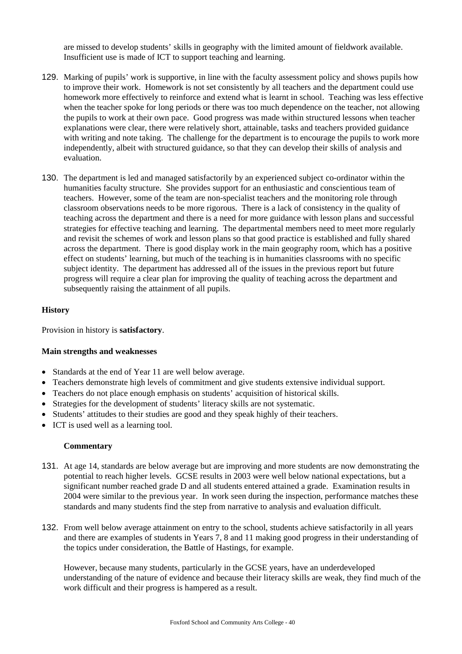are missed to develop students' skills in geography with the limited amount of fieldwork available. Insufficient use is made of ICT to support teaching and learning.

- 129. Marking of pupils' work is supportive, in line with the faculty assessment policy and shows pupils how to improve their work. Homework is not set consistently by all teachers and the department could use homework more effectively to reinforce and extend what is learnt in school. Teaching was less effective when the teacher spoke for long periods or there was too much dependence on the teacher, not allowing the pupils to work at their own pace. Good progress was made within structured lessons when teacher explanations were clear, there were relatively short, attainable, tasks and teachers provided guidance with writing and note taking. The challenge for the department is to encourage the pupils to work more independently, albeit with structured guidance, so that they can develop their skills of analysis and evaluation.
- 130. The department is led and managed satisfactorily by an experienced subject co-ordinator within the humanities faculty structure. She provides support for an enthusiastic and conscientious team of teachers. However, some of the team are non-specialist teachers and the monitoring role through classroom observations needs to be more rigorous. There is a lack of consistency in the quality of teaching across the department and there is a need for more guidance with lesson plans and successful strategies for effective teaching and learning. The departmental members need to meet more regularly and revisit the schemes of work and lesson plans so that good practice is established and fully shared across the department. There is good display work in the main geography room, which has a positive effect on students' learning, but much of the teaching is in humanities classrooms with no specific subject identity. The department has addressed all of the issues in the previous report but future progress will require a clear plan for improving the quality of teaching across the department and subsequently raising the attainment of all pupils.

#### **History**

Provision in history is **satisfactory**.

#### **Main strengths and weaknesses**

- Standards at the end of Year 11 are well below average.
- Teachers demonstrate high levels of commitment and give students extensive individual support.
- Teachers do not place enough emphasis on students' acquisition of historical skills.
- Strategies for the development of students' literacy skills are not systematic.
- Students' attitudes to their studies are good and they speak highly of their teachers.
- ICT is used well as a learning tool.

#### **Commentary**

- 131. At age 14, standards are below average but are improving and more students are now demonstrating the potential to reach higher levels. GCSE results in 2003 were well below national expectations, but a significant number reached grade D and all students entered attained a grade. Examination results in 2004 were similar to the previous year. In work seen during the inspection, performance matches these standards and many students find the step from narrative to analysis and evaluation difficult.
- 132. From well below average attainment on entry to the school, students achieve satisfactorily in all years and there are examples of students in Years 7, 8 and 11 making good progress in their understanding of the topics under consideration, the Battle of Hastings, for example.

However, because many students, particularly in the GCSE years, have an underdeveloped understanding of the nature of evidence and because their literacy skills are weak, they find much of the work difficult and their progress is hampered as a result.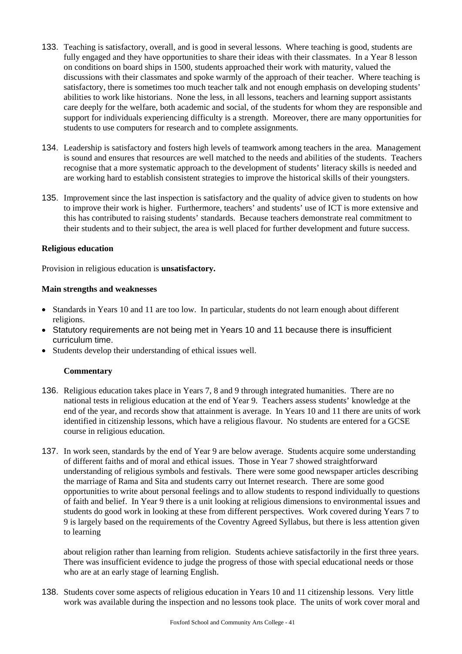- 133. Teaching is satisfactory, overall, and is good in several lessons. Where teaching is good, students are fully engaged and they have opportunities to share their ideas with their classmates. In a Year 8 lesson on conditions on board ships in 1500, students approached their work with maturity, valued the discussions with their classmates and spoke warmly of the approach of their teacher. Where teaching is satisfactory, there is sometimes too much teacher talk and not enough emphasis on developing students' abilities to work like historians. None the less, in all lessons, teachers and learning support assistants care deeply for the welfare, both academic and social, of the students for whom they are responsible and support for individuals experiencing difficulty is a strength. Moreover, there are many opportunities for students to use computers for research and to complete assignments.
- 134. Leadership is satisfactory and fosters high levels of teamwork among teachers in the area. Management is sound and ensures that resources are well matched to the needs and abilities of the students. Teachers recognise that a more systematic approach to the development of students' literacy skills is needed and are working hard to establish consistent strategies to improve the historical skills of their youngsters.
- 135. Improvement since the last inspection is satisfactory and the quality of advice given to students on how to improve their work is higher. Furthermore, teachers' and students' use of ICT is more extensive and this has contributed to raising students' standards. Because teachers demonstrate real commitment to their students and to their subject, the area is well placed for further development and future success.

### **Religious education**

Provision in religious education is **unsatisfactory.**

### **Main strengths and weaknesses**

- Standards in Years 10 and 11 are too low. In particular, students do not learn enough about different religions.
- Statutory requirements are not being met in Years 10 and 11 because there is insufficient curriculum time.
- Students develop their understanding of ethical issues well.

## **Commentary**

- 136. Religious education takes place in Years 7, 8 and 9 through integrated humanities. There are no national tests in religious education at the end of Year 9. Teachers assess students' knowledge at the end of the year, and records show that attainment is average. In Years 10 and 11 there are units of work identified in citizenship lessons, which have a religious flavour. No students are entered for a GCSE course in religious education.
- 137. In work seen, standards by the end of Year 9 are below average. Students acquire some understanding of different faiths and of moral and ethical issues. Those in Year 7 showed straightforward understanding of religious symbols and festivals. There were some good newspaper articles describing the marriage of Rama and Sita and students carry out Internet research. There are some good opportunities to write about personal feelings and to allow students to respond individually to questions of faith and belief. In Year 9 there is a unit looking at religious dimensions to environmental issues and students do good work in looking at these from different perspectives. Work covered during Years 7 to 9 is largely based on the requirements of the Coventry Agreed Syllabus, but there is less attention given to learning

about religion rather than learning from religion. Students achieve satisfactorily in the first three years. There was insufficient evidence to judge the progress of those with special educational needs or those who are at an early stage of learning English.

138. Students cover some aspects of religious education in Years 10 and 11 citizenship lessons. Very little work was available during the inspection and no lessons took place. The units of work cover moral and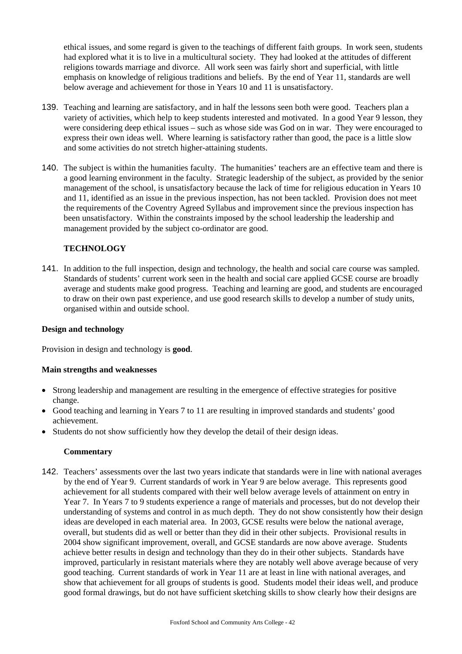ethical issues, and some regard is given to the teachings of different faith groups. In work seen, students had explored what it is to live in a multicultural society. They had looked at the attitudes of different religions towards marriage and divorce. All work seen was fairly short and superficial, with little emphasis on knowledge of religious traditions and beliefs. By the end of Year 11, standards are well below average and achievement for those in Years 10 and 11 is unsatisfactory.

- 139. Teaching and learning are satisfactory, and in half the lessons seen both were good. Teachers plan a variety of activities, which help to keep students interested and motivated. In a good Year 9 lesson, they were considering deep ethical issues – such as whose side was God on in war. They were encouraged to express their own ideas well. Where learning is satisfactory rather than good, the pace is a little slow and some activities do not stretch higher-attaining students.
- 140. The subject is within the humanities faculty. The humanities' teachers are an effective team and there is a good learning environment in the faculty. Strategic leadership of the subject, as provided by the senior management of the school, is unsatisfactory because the lack of time for religious education in Years 10 and 11, identified as an issue in the previous inspection, has not been tackled. Provision does not meet the requirements of the Coventry Agreed Syllabus and improvement since the previous inspection has been unsatisfactory. Within the constraints imposed by the school leadership the leadership and management provided by the subject co-ordinator are good.

### **TECHNOLOGY**

141. In addition to the full inspection, design and technology, the health and social care course was sampled. Standards of students' current work seen in the health and social care applied GCSE course are broadly average and students make good progress. Teaching and learning are good, and students are encouraged to draw on their own past experience, and use good research skills to develop a number of study units, organised within and outside school.

#### **Design and technology**

Provision in design and technology is **good**.

#### **Main strengths and weaknesses**

- Strong leadership and management are resulting in the emergence of effective strategies for positive change.
- Good teaching and learning in Years 7 to 11 are resulting in improved standards and students' good achievement.
- Students do not show sufficiently how they develop the detail of their design ideas.

#### **Commentary**

142. Teachers' assessments over the last two years indicate that standards were in line with national averages by the end of Year 9. Current standards of work in Year 9 are below average. This represents good achievement for all students compared with their well below average levels of attainment on entry in Year 7. In Years 7 to 9 students experience a range of materials and processes, but do not develop their understanding of systems and control in as much depth. They do not show consistently how their design ideas are developed in each material area. In 2003, GCSE results were below the national average, overall, but students did as well or better than they did in their other subjects. Provisional results in 2004 show significant improvement, overall, and GCSE standards are now above average. Students achieve better results in design and technology than they do in their other subjects. Standards have improved, particularly in resistant materials where they are notably well above average because of very good teaching. Current standards of work in Year 11 are at least in line with national averages, and show that achievement for all groups of students is good. Students model their ideas well, and produce good formal drawings, but do not have sufficient sketching skills to show clearly how their designs are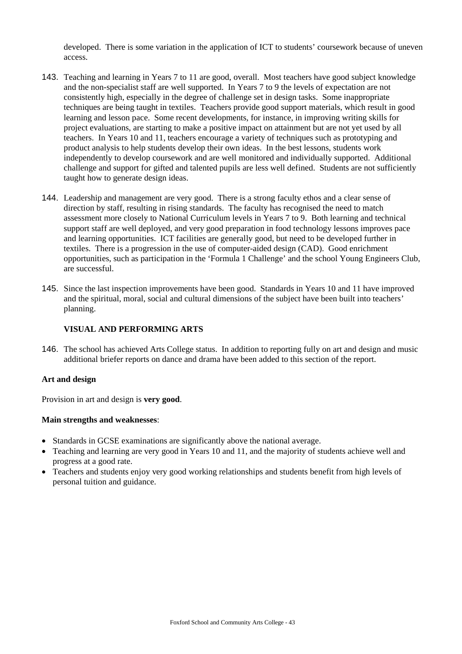developed. There is some variation in the application of ICT to students' coursework because of uneven access.

- 143. Teaching and learning in Years 7 to 11 are good, overall. Most teachers have good subject knowledge and the non-specialist staff are well supported. In Years 7 to 9 the levels of expectation are not consistently high, especially in the degree of challenge set in design tasks. Some inappropriate techniques are being taught in textiles. Teachers provide good support materials, which result in good learning and lesson pace. Some recent developments, for instance, in improving writing skills for project evaluations, are starting to make a positive impact on attainment but are not yet used by all teachers. In Years 10 and 11, teachers encourage a variety of techniques such as prototyping and product analysis to help students develop their own ideas. In the best lessons, students work independently to develop coursework and are well monitored and individually supported. Additional challenge and support for gifted and talented pupils are less well defined. Students are not sufficiently taught how to generate design ideas.
- 144. Leadership and management are very good. There is a strong faculty ethos and a clear sense of direction by staff, resulting in rising standards. The faculty has recognised the need to match assessment more closely to National Curriculum levels in Years 7 to 9. Both learning and technical support staff are well deployed, and very good preparation in food technology lessons improves pace and learning opportunities. ICT facilities are generally good, but need to be developed further in textiles. There is a progression in the use of computer-aided design (CAD). Good enrichment opportunities, such as participation in the 'Formula 1 Challenge' and the school Young Engineers Club, are successful.
- 145. Since the last inspection improvements have been good. Standards in Years 10 and 11 have improved and the spiritual, moral, social and cultural dimensions of the subject have been built into teachers' planning.

## **VISUAL AND PERFORMING ARTS**

146. The school has achieved Arts College status. In addition to reporting fully on art and design and music additional briefer reports on dance and drama have been added to this section of the report.

#### **Art and design**

Provision in art and design is **very good**.

#### **Main strengths and weaknesses**:

- Standards in GCSE examinations are significantly above the national average.
- Teaching and learning are very good in Years 10 and 11, and the majority of students achieve well and progress at a good rate.
- Teachers and students enjoy very good working relationships and students benefit from high levels of personal tuition and guidance.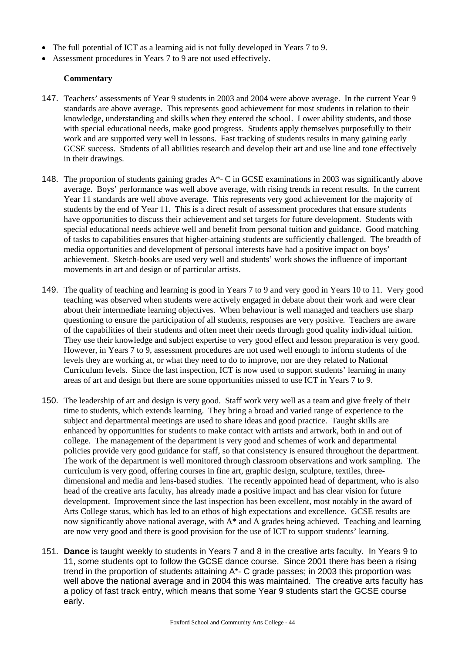- The full potential of ICT as a learning aid is not fully developed in Years 7 to 9.
- Assessment procedures in Years 7 to 9 are not used effectively.

- 147. Teachers' assessments of Year 9 students in 2003 and 2004 were above average. In the current Year 9 standards are above average. This represents good achievement for most students in relation to their knowledge, understanding and skills when they entered the school. Lower ability students, and those with special educational needs, make good progress. Students apply themselves purposefully to their work and are supported very well in lessons. Fast tracking of students results in many gaining early GCSE success. Students of all abilities research and develop their art and use line and tone effectively in their drawings.
- 148. The proportion of students gaining grades A\*- C in GCSE examinations in 2003 was significantly above average. Boys' performance was well above average, with rising trends in recent results. In the current Year 11 standards are well above average. This represents very good achievement for the majority of students by the end of Year 11. This is a direct result of assessment procedures that ensure students have opportunities to discuss their achievement and set targets for future development. Students with special educational needs achieve well and benefit from personal tuition and guidance. Good matching of tasks to capabilities ensures that higher-attaining students are sufficiently challenged. The breadth of media opportunities and development of personal interests have had a positive impact on boys' achievement. Sketch-books are used very well and students' work shows the influence of important movements in art and design or of particular artists.
- 149. The quality of teaching and learning is good in Years 7 to 9 and very good in Years 10 to 11. Very good teaching was observed when students were actively engaged in debate about their work and were clear about their intermediate learning objectives. When behaviour is well managed and teachers use sharp questioning to ensure the participation of all students, responses are very positive. Teachers are aware of the capabilities of their students and often meet their needs through good quality individual tuition. They use their knowledge and subject expertise to very good effect and lesson preparation is very good. However, in Years 7 to 9, assessment procedures are not used well enough to inform students of the levels they are working at, or what they need to do to improve, nor are they related to National Curriculum levels. Since the last inspection, ICT is now used to support students' learning in many areas of art and design but there are some opportunities missed to use ICT in Years 7 to 9.
- 150. The leadership of art and design is very good. Staff work very well as a team and give freely of their time to students, which extends learning. They bring a broad and varied range of experience to the subject and departmental meetings are used to share ideas and good practice. Taught skills are enhanced by opportunities for students to make contact with artists and artwork, both in and out of college. The management of the department is very good and schemes of work and departmental policies provide very good guidance for staff, so that consistency is ensured throughout the department. The work of the department is well monitored through classroom observations and work sampling. The curriculum is very good, offering courses in fine art, graphic design, sculpture, textiles, threedimensional and media and lens-based studies. The recently appointed head of department, who is also head of the creative arts faculty, has already made a positive impact and has clear vision for future development. Improvement since the last inspection has been excellent, most notably in the award of Arts College status, which has led to an ethos of high expectations and excellence. GCSE results are now significantly above national average, with A\* and A grades being achieved. Teaching and learning are now very good and there is good provision for the use of ICT to support students' learning.
- 151. **Dance** is taught weekly to students in Years 7 and 8 in the creative arts faculty. In Years 9 to 11, some students opt to follow the GCSE dance course. Since 2001 there has been a rising trend in the proportion of students attaining A\*- C grade passes; in 2003 this proportion was well above the national average and in 2004 this was maintained. The creative arts faculty has a policy of fast track entry, which means that some Year 9 students start the GCSE course early.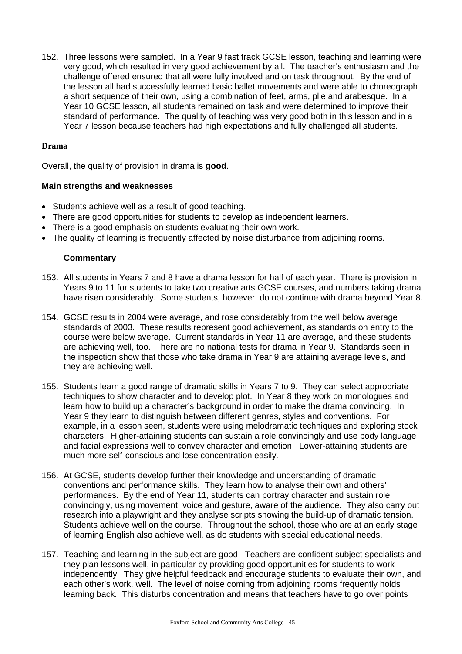152. Three lessons were sampled. In a Year 9 fast track GCSE lesson, teaching and learning were very good, which resulted in very good achievement by all. The teacher's enthusiasm and the challenge offered ensured that all were fully involved and on task throughout. By the end of the lesson all had successfully learned basic ballet movements and were able to choreograph a short sequence of their own, using a combination of feet, arms, plie and arabesque. In a Year 10 GCSE lesson, all students remained on task and were determined to improve their standard of performance. The quality of teaching was very good both in this lesson and in a Year 7 lesson because teachers had high expectations and fully challenged all students.

### **Drama**

Overall, the quality of provision in drama is **good**.

### **Main strengths and weaknesses**

- Students achieve well as a result of good teaching.
- There are good opportunities for students to develop as independent learners.
- There is a good emphasis on students evaluating their own work.
- The quality of learning is frequently affected by noise disturbance from adioining rooms.

- 153. All students in Years 7 and 8 have a drama lesson for half of each year. There is provision in Years 9 to 11 for students to take two creative arts GCSE courses, and numbers taking drama have risen considerably. Some students, however, do not continue with drama beyond Year 8.
- 154. GCSE results in 2004 were average, and rose considerably from the well below average standards of 2003. These results represent good achievement, as standards on entry to the course were below average. Current standards in Year 11 are average, and these students are achieving well, too. There are no national tests for drama in Year 9. Standards seen in the inspection show that those who take drama in Year 9 are attaining average levels, and they are achieving well.
- 155. Students learn a good range of dramatic skills in Years 7 to 9. They can select appropriate techniques to show character and to develop plot. In Year 8 they work on monologues and learn how to build up a character's background in order to make the drama convincing. In Year 9 they learn to distinguish between different genres, styles and conventions. For example, in a lesson seen, students were using melodramatic techniques and exploring stock characters. Higher-attaining students can sustain a role convincingly and use body language and facial expressions well to convey character and emotion. Lower-attaining students are much more self-conscious and lose concentration easily.
- 156. At GCSE, students develop further their knowledge and understanding of dramatic conventions and performance skills. They learn how to analyse their own and others' performances. By the end of Year 11, students can portray character and sustain role convincingly, using movement, voice and gesture, aware of the audience. They also carry out research into a playwright and they analyse scripts showing the build-up of dramatic tension. Students achieve well on the course. Throughout the school, those who are at an early stage of learning English also achieve well, as do students with special educational needs.
- 157. Teaching and learning in the subject are good. Teachers are confident subject specialists and they plan lessons well, in particular by providing good opportunities for students to work independently. They give helpful feedback and encourage students to evaluate their own, and each other's work, well. The level of noise coming from adjoining rooms frequently holds learning back. This disturbs concentration and means that teachers have to go over points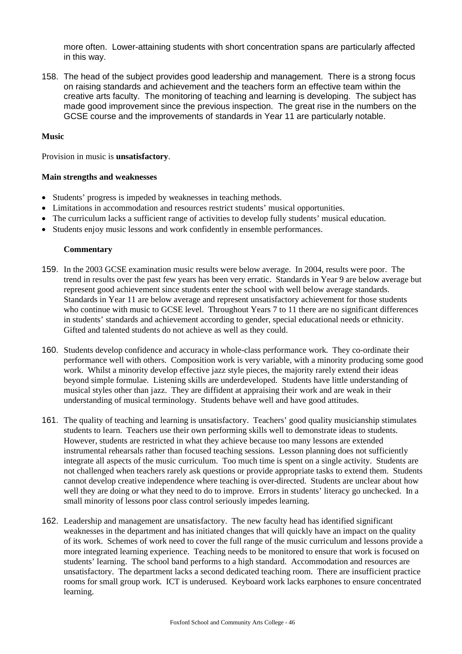more often. Lower-attaining students with short concentration spans are particularly affected in this way.

158. The head of the subject provides good leadership and management. There is a strong focus on raising standards and achievement and the teachers form an effective team within the creative arts faculty. The monitoring of teaching and learning is developing. The subject has made good improvement since the previous inspection. The great rise in the numbers on the GCSE course and the improvements of standards in Year 11 are particularly notable.

#### **Music**

Provision in music is **unsatisfactory**.

#### **Main strengths and weaknesses**

- Students' progress is impeded by weaknesses in teaching methods.
- Limitations in accommodation and resources restrict students' musical opportunities.
- The curriculum lacks a sufficient range of activities to develop fully students' musical education.
- Students enjoy music lessons and work confidently in ensemble performances.

- 159. In the 2003 GCSE examination music results were below average. In 2004, results were poor. The trend in results over the past few years has been very erratic. Standards in Year 9 are below average but represent good achievement since students enter the school with well below average standards. Standards in Year 11 are below average and represent unsatisfactory achievement for those students who continue with music to GCSE level. Throughout Years 7 to 11 there are no significant differences in students' standards and achievement according to gender, special educational needs or ethnicity. Gifted and talented students do not achieve as well as they could.
- 160. Students develop confidence and accuracy in whole-class performance work. They co-ordinate their performance well with others. Composition work is very variable, with a minority producing some good work. Whilst a minority develop effective jazz style pieces, the majority rarely extend their ideas beyond simple formulae. Listening skills are underdeveloped. Students have little understanding of musical styles other than jazz. They are diffident at appraising their work and are weak in their understanding of musical terminology. Students behave well and have good attitudes.
- 161. The quality of teaching and learning is unsatisfactory. Teachers' good quality musicianship stimulates students to learn. Teachers use their own performing skills well to demonstrate ideas to students. However, students are restricted in what they achieve because too many lessons are extended instrumental rehearsals rather than focused teaching sessions. Lesson planning does not sufficiently integrate all aspects of the music curriculum. Too much time is spent on a single activity. Students are not challenged when teachers rarely ask questions or provide appropriate tasks to extend them. Students cannot develop creative independence where teaching is over-directed. Students are unclear about how well they are doing or what they need to do to improve. Errors in students' literacy go unchecked. In a small minority of lessons poor class control seriously impedes learning.
- 162. Leadership and management are unsatisfactory. The new faculty head has identified significant weaknesses in the department and has initiated changes that will quickly have an impact on the quality of its work. Schemes of work need to cover the full range of the music curriculum and lessons provide a more integrated learning experience. Teaching needs to be monitored to ensure that work is focused on students' learning. The school band performs to a high standard. Accommodation and resources are unsatisfactory. The department lacks a second dedicated teaching room. There are insufficient practice rooms for small group work. ICT is underused. Keyboard work lacks earphones to ensure concentrated learning.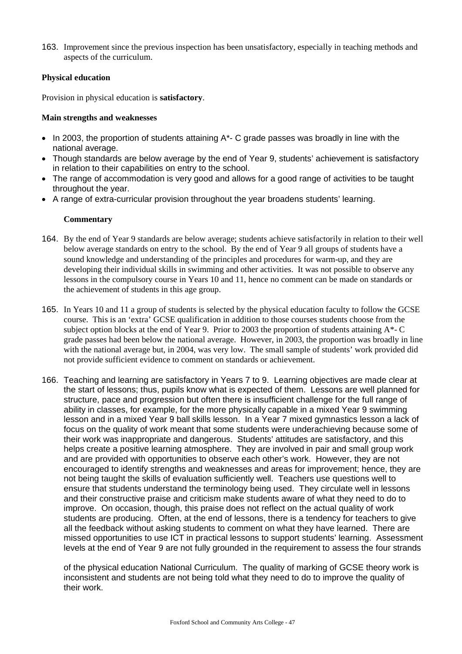163. Improvement since the previous inspection has been unsatisfactory, especially in teaching methods and aspects of the curriculum.

## **Physical education**

Provision in physical education is **satisfactory**.

### **Main strengths and weaknesses**

- In 2003, the proportion of students attaining A\*- C grade passes was broadly in line with the national average.
- Though standards are below average by the end of Year 9, students' achievement is satisfactory in relation to their capabilities on entry to the school.
- The range of accommodation is very good and allows for a good range of activities to be taught throughout the year.
- A range of extra-curricular provision throughout the year broadens students' learning.

### **Commentary**

- 164. By the end of Year 9 standards are below average; students achieve satisfactorily in relation to their well below average standards on entry to the school. By the end of Year 9 all groups of students have a sound knowledge and understanding of the principles and procedures for warm-up, and they are developing their individual skills in swimming and other activities. It was not possible to observe any lessons in the compulsory course in Years 10 and 11, hence no comment can be made on standards or the achievement of students in this age group.
- 165. In Years 10 and 11 a group of students is selected by the physical education faculty to follow the GCSE course. This is an 'extra' GCSE qualification in addition to those courses students choose from the subject option blocks at the end of Year 9. Prior to 2003 the proportion of students attaining A\*- C grade passes had been below the national average. However, in 2003, the proportion was broadly in line with the national average but, in 2004, was very low. The small sample of students' work provided did not provide sufficient evidence to comment on standards or achievement.
- 166. Teaching and learning are satisfactory in Years 7 to 9. Learning objectives are made clear at the start of lessons; thus, pupils know what is expected of them. Lessons are well planned for structure, pace and progression but often there is insufficient challenge for the full range of ability in classes, for example, for the more physically capable in a mixed Year 9 swimming lesson and in a mixed Year 9 ball skills lesson. In a Year 7 mixed gymnastics lesson a lack of focus on the quality of work meant that some students were underachieving because some of their work was inappropriate and dangerous. Students' attitudes are satisfactory, and this helps create a positive learning atmosphere. They are involved in pair and small group work and are provided with opportunities to observe each other's work. However, they are not encouraged to identify strengths and weaknesses and areas for improvement; hence, they are not being taught the skills of evaluation sufficiently well. Teachers use questions well to ensure that students understand the terminology being used. They circulate well in lessons and their constructive praise and criticism make students aware of what they need to do to improve. On occasion, though, this praise does not reflect on the actual quality of work students are producing. Often, at the end of lessons, there is a tendency for teachers to give all the feedback without asking students to comment on what they have learned. There are missed opportunities to use ICT in practical lessons to support students' learning. Assessment levels at the end of Year 9 are not fully grounded in the requirement to assess the four strands

of the physical education National Curriculum. The quality of marking of GCSE theory work is inconsistent and students are not being told what they need to do to improve the quality of their work.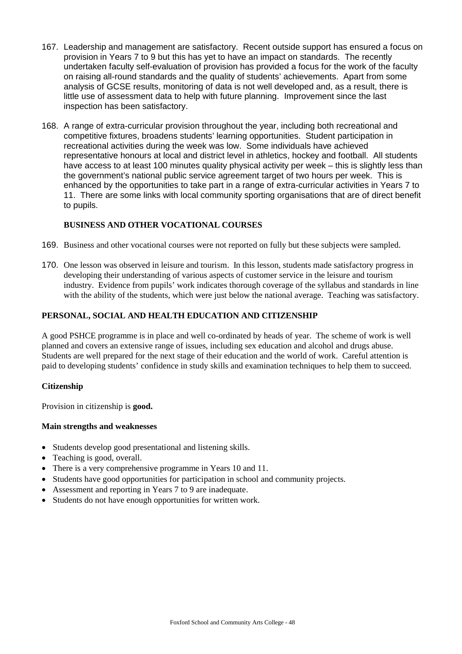- 167. Leadership and management are satisfactory. Recent outside support has ensured a focus on provision in Years 7 to 9 but this has yet to have an impact on standards. The recently undertaken faculty self-evaluation of provision has provided a focus for the work of the faculty on raising all-round standards and the quality of students' achievements. Apart from some analysis of GCSE results, monitoring of data is not well developed and, as a result, there is little use of assessment data to help with future planning. Improvement since the last inspection has been satisfactory.
- 168. A range of extra-curricular provision throughout the year, including both recreational and competitive fixtures, broadens students' learning opportunities. Student participation in recreational activities during the week was low. Some individuals have achieved representative honours at local and district level in athletics, hockey and football. All students have access to at least 100 minutes quality physical activity per week – this is slightly less than the government's national public service agreement target of two hours per week. This is enhanced by the opportunities to take part in a range of extra-curricular activities in Years 7 to 11. There are some links with local community sporting organisations that are of direct benefit to pupils.

## **BUSINESS AND OTHER VOCATIONAL COURSES**

- 169. Business and other vocational courses were not reported on fully but these subjects were sampled.
- 170. One lesson was observed in leisure and tourism. In this lesson, students made satisfactory progress in developing their understanding of various aspects of customer service in the leisure and tourism industry. Evidence from pupils' work indicates thorough coverage of the syllabus and standards in line with the ability of the students, which were just below the national average. Teaching was satisfactory.

#### **PERSONAL, SOCIAL AND HEALTH EDUCATION AND CITIZENSHIP**

A good PSHCE programme is in place and well co-ordinated by heads of year. The scheme of work is well planned and covers an extensive range of issues, including sex education and alcohol and drugs abuse. Students are well prepared for the next stage of their education and the world of work. Careful attention is paid to developing students' confidence in study skills and examination techniques to help them to succeed.

#### **Citizenship**

Provision in citizenship is **good.**

#### **Main strengths and weaknesses**

- Students develop good presentational and listening skills.
- Teaching is good, overall.
- There is a very comprehensive programme in Years 10 and 11.
- Students have good opportunities for participation in school and community projects.
- Assessment and reporting in Years 7 to 9 are inadequate.
- Students do not have enough opportunities for written work.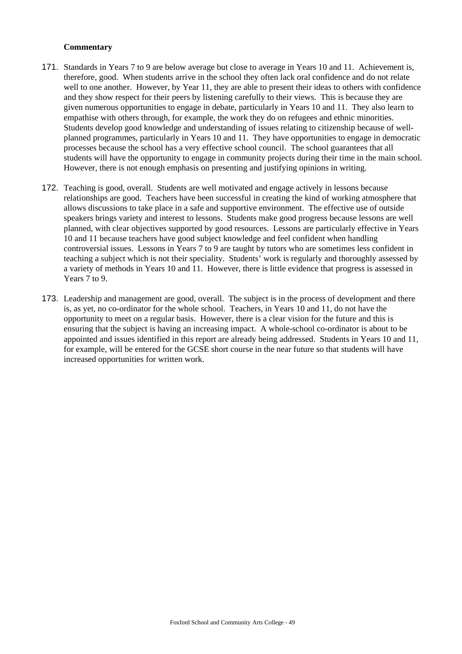- 171. Standards in Years 7 to 9 are below average but close to average in Years 10 and 11. Achievement is, therefore, good. When students arrive in the school they often lack oral confidence and do not relate well to one another. However, by Year 11, they are able to present their ideas to others with confidence and they show respect for their peers by listening carefully to their views. This is because they are given numerous opportunities to engage in debate, particularly in Years 10 and 11. They also learn to empathise with others through, for example, the work they do on refugees and ethnic minorities. Students develop good knowledge and understanding of issues relating to citizenship because of wellplanned programmes, particularly in Years 10 and 11. They have opportunities to engage in democratic processes because the school has a very effective school council. The school guarantees that all students will have the opportunity to engage in community projects during their time in the main school. However, there is not enough emphasis on presenting and justifying opinions in writing.
- 172. Teaching is good, overall. Students are well motivated and engage actively in lessons because relationships are good. Teachers have been successful in creating the kind of working atmosphere that allows discussions to take place in a safe and supportive environment. The effective use of outside speakers brings variety and interest to lessons. Students make good progress because lessons are well planned, with clear objectives supported by good resources. Lessons are particularly effective in Years 10 and 11 because teachers have good subject knowledge and feel confident when handling controversial issues. Lessons in Years 7 to 9 are taught by tutors who are sometimes less confident in teaching a subject which is not their speciality. Students' work is regularly and thoroughly assessed by a variety of methods in Years 10 and 11. However, there is little evidence that progress is assessed in Years 7 to 9.
- 173. Leadership and management are good, overall. The subject is in the process of development and there is, as yet, no co-ordinator for the whole school. Teachers, in Years 10 and 11, do not have the opportunity to meet on a regular basis. However, there is a clear vision for the future and this is ensuring that the subject is having an increasing impact. A whole-school co-ordinator is about to be appointed and issues identified in this report are already being addressed. Students in Years 10 and 11, for example, will be entered for the GCSE short course in the near future so that students will have increased opportunities for written work.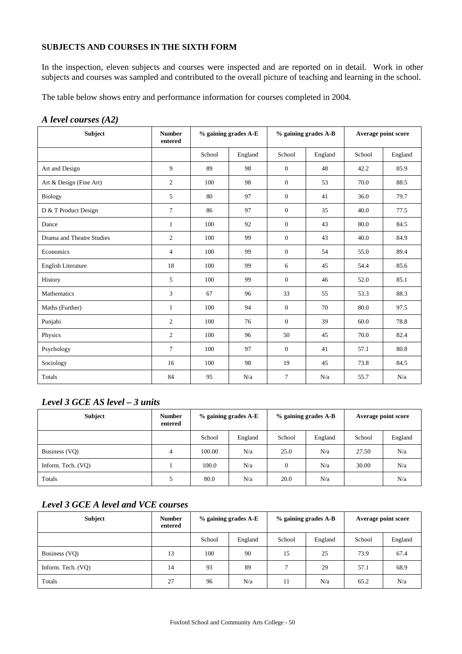## **SUBJECTS AND COURSES IN THE SIXTH FORM**

In the inspection, eleven subjects and courses were inspected and are reported on in detail. Work in other subjects and courses was sampled and contributed to the overall picture of teaching and learning in the school.

The table below shows entry and performance information for courses completed in 2004.

#### *A level courses (A2)*

| Subject                   | <b>Number</b><br>entered | $%$ gaining grades A-E |         | % gaining grades A-B |         | Average point score |         |
|---------------------------|--------------------------|------------------------|---------|----------------------|---------|---------------------|---------|
|                           |                          | School                 | England | School               | England | School              | England |
| Art and Design            | 9                        | 89                     | 98      | $\mathbf{0}$         | 48      | 42.2                | 85.9    |
| Art & Design (Fine Art)   | $\overline{c}$           | 100                    | 98      | $\mathbf{0}$         | 53      | 70.0                | 88.5    |
| <b>Biology</b>            | 5                        | 80                     | 97      | $\mathbf{0}$         | 41      | 36.0                | 79.7    |
| D & T Product Design      | $\tau$                   | 86                     | 97      | $\mathbf{0}$         | 35      | 40.0                | 77.5    |
| Dance                     | $\mathbf{1}$             | 100                    | 92      | $\mathbf{0}$         | 43      | 80.0                | 84.5    |
| Drama and Theatre Studies | 2                        | 100                    | 99      | $\mathbf{0}$         | 43      | 40.0                | 84.9    |
| Economics                 | 4                        | 100                    | 99      | $\overline{0}$       | 54      | 55.0                | 89.4    |
| <b>English Literature</b> | 18                       | 100                    | 99      | 6                    | 45      | 54.4                | 85.6    |
| History                   | 5                        | 100                    | 99      | $\mathbf{0}$         | 46      | 52.0                | 85.1    |
| Mathematics               | 3                        | 67                     | 96      | 33                   | 55      | 53.3                | 88.3    |
| Maths (Further)           | 1                        | 100                    | 94      | $\mathbf{0}$         | 70      | 80.0                | 97.5    |
| Punjabi                   | 2                        | 100                    | 76      | $\overline{0}$       | 39      | 60.0                | 78.8    |
| Physics                   | 2                        | 100                    | 96      | 50                   | 45      | 70.0                | 82.4    |
| Psychology                | $\tau$                   | 100                    | 97      | $\mathbf{0}$         | 41      | 57.1                | 80.8    |
| Sociology                 | 16                       | 100                    | 98      | 19                   | 45      | 73.8                | 84.5    |
| Totals                    | 84                       | 95                     | N/a     | $\overline{7}$       | N/a     | 55.7                | N/a     |

## *Level 3 GCE AS level – 3 units*

| <b>Subject</b>     | <b>Number</b><br>entered | % gaining grades A-E |         | % gaining grades A-B |         | Average point score |         |
|--------------------|--------------------------|----------------------|---------|----------------------|---------|---------------------|---------|
|                    |                          | School               | England | School               | England | School              | England |
| Business (VQ)      | 4                        | 100.00               | N/a     | 25.0                 | N/a     | 27.50               | N/a     |
| Inform. Tech. (VO) |                          | 100.0                | N/a     | $\theta$             | N/a     | 30.00               | N/a     |
| Totals             |                          | 80.0                 | N/a     | 20.0                 | N/a     |                     | N/a     |

## *Level 3 GCE A level and VCE courses*

| <b>Subject</b>     | <b>Number</b><br>entered | $%$ gaining grades $A$ -E |         | $%$ gaining grades A-B |         | Average point score |         |
|--------------------|--------------------------|---------------------------|---------|------------------------|---------|---------------------|---------|
|                    |                          | School                    | England | School                 | England | School              | England |
| Business (VQ)      | 13                       | 100                       | 90      | 15                     | 25      | 73.9                | 67.4    |
| Inform. Tech. (VO) | 14                       | 93                        | 89      |                        | 29      | 57.1                | 68.9    |
| Totals             | 27                       | 96                        | N/a     | 11                     | N/a     | 65.2                | N/a     |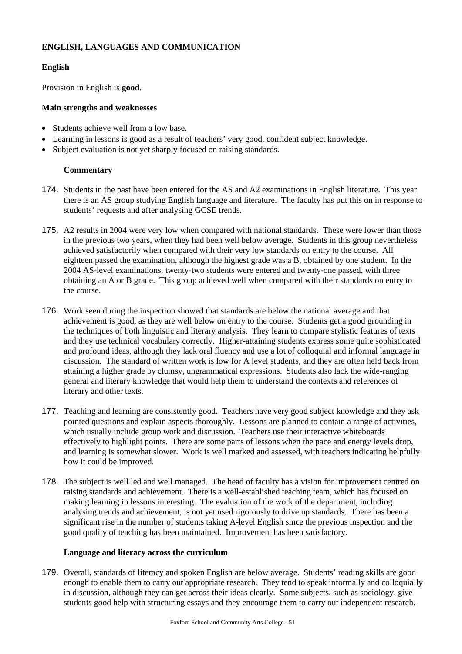## **ENGLISH, LANGUAGES AND COMMUNICATION**

### **English**

Provision in English is **good**.

### **Main strengths and weaknesses**

- Students achieve well from a low base.
- Learning in lessons is good as a result of teachers' very good, confident subject knowledge.
- Subject evaluation is not yet sharply focused on raising standards.

### **Commentary**

- 174. Students in the past have been entered for the AS and A2 examinations in English literature. This year there is an AS group studying English language and literature. The faculty has put this on in response to students' requests and after analysing GCSE trends.
- 175. A2 results in 2004 were very low when compared with national standards. These were lower than those in the previous two years, when they had been well below average. Students in this group nevertheless achieved satisfactorily when compared with their very low standards on entry to the course. All eighteen passed the examination, although the highest grade was a B, obtained by one student. In the 2004 AS-level examinations, twenty-two students were entered and twenty-one passed, with three obtaining an A or B grade. This group achieved well when compared with their standards on entry to the course.
- 176. Work seen during the inspection showed that standards are below the national average and that achievement is good, as they are well below on entry to the course. Students get a good grounding in the techniques of both linguistic and literary analysis. They learn to compare stylistic features of texts and they use technical vocabulary correctly. Higher-attaining students express some quite sophisticated and profound ideas, although they lack oral fluency and use a lot of colloquial and informal language in discussion. The standard of written work is low for A level students, and they are often held back from attaining a higher grade by clumsy, ungrammatical expressions. Students also lack the wide-ranging general and literary knowledge that would help them to understand the contexts and references of literary and other texts.
- 177. Teaching and learning are consistently good. Teachers have very good subject knowledge and they ask pointed questions and explain aspects thoroughly. Lessons are planned to contain a range of activities, which usually include group work and discussion. Teachers use their interactive whiteboards effectively to highlight points. There are some parts of lessons when the pace and energy levels drop, and learning is somewhat slower. Work is well marked and assessed, with teachers indicating helpfully how it could be improved.
- 178. The subject is well led and well managed. The head of faculty has a vision for improvement centred on raising standards and achievement. There is a well-established teaching team, which has focused on making learning in lessons interesting. The evaluation of the work of the department, including analysing trends and achievement, is not yet used rigorously to drive up standards. There has been a significant rise in the number of students taking A-level English since the previous inspection and the good quality of teaching has been maintained. Improvement has been satisfactory.

#### **Language and literacy across the curriculum**

179. Overall, standards of literacy and spoken English are below average. Students' reading skills are good enough to enable them to carry out appropriate research. They tend to speak informally and colloquially in discussion, although they can get across their ideas clearly. Some subjects, such as sociology, give students good help with structuring essays and they encourage them to carry out independent research.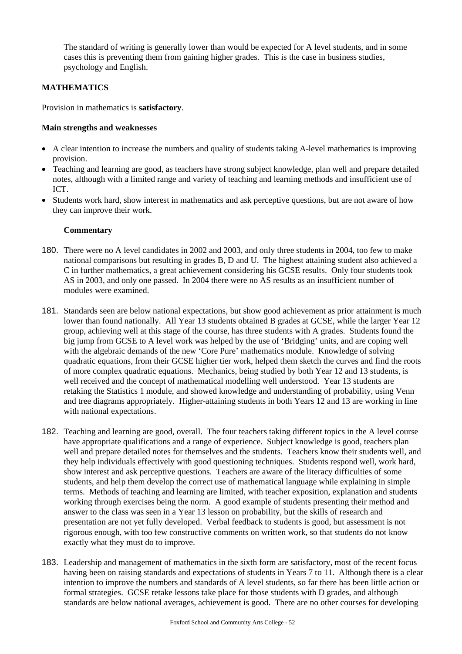The standard of writing is generally lower than would be expected for A level students, and in some cases this is preventing them from gaining higher grades. This is the case in business studies, psychology and English.

## **MATHEMATICS**

Provision in mathematics is **satisfactory**.

#### **Main strengths and weaknesses**

- A clear intention to increase the numbers and quality of students taking A-level mathematics is improving provision.
- Teaching and learning are good, as teachers have strong subject knowledge, plan well and prepare detailed notes, although with a limited range and variety of teaching and learning methods and insufficient use of ICT.
- Students work hard, show interest in mathematics and ask perceptive questions, but are not aware of how they can improve their work.

- 180. There were no A level candidates in 2002 and 2003, and only three students in 2004, too few to make national comparisons but resulting in grades B, D and U. The highest attaining student also achieved a C in further mathematics, a great achievement considering his GCSE results. Only four students took AS in 2003, and only one passed. In 2004 there were no AS results as an insufficient number of modules were examined.
- 181. Standards seen are below national expectations, but show good achievement as prior attainment is much lower than found nationally. All Year 13 students obtained B grades at GCSE, while the larger Year 12 group, achieving well at this stage of the course, has three students with A grades. Students found the big jump from GCSE to A level work was helped by the use of 'Bridging' units, and are coping well with the algebraic demands of the new 'Core Pure' mathematics module. Knowledge of solving quadratic equations, from their GCSE higher tier work, helped them sketch the curves and find the roots of more complex quadratic equations. Mechanics, being studied by both Year 12 and 13 students, is well received and the concept of mathematical modelling well understood. Year 13 students are retaking the Statistics 1 module, and showed knowledge and understanding of probability, using Venn and tree diagrams appropriately. Higher-attaining students in both Years 12 and 13 are working in line with national expectations.
- 182. Teaching and learning are good, overall. The four teachers taking different topics in the A level course have appropriate qualifications and a range of experience. Subject knowledge is good, teachers plan well and prepare detailed notes for themselves and the students. Teachers know their students well, and they help individuals effectively with good questioning techniques. Students respond well, work hard, show interest and ask perceptive questions. Teachers are aware of the literacy difficulties of some students, and help them develop the correct use of mathematical language while explaining in simple terms. Methods of teaching and learning are limited, with teacher exposition, explanation and students working through exercises being the norm. A good example of students presenting their method and answer to the class was seen in a Year 13 lesson on probability, but the skills of research and presentation are not yet fully developed. Verbal feedback to students is good, but assessment is not rigorous enough, with too few constructive comments on written work, so that students do not know exactly what they must do to improve.
- 183. Leadership and management of mathematics in the sixth form are satisfactory, most of the recent focus having been on raising standards and expectations of students in Years 7 to 11. Although there is a clear intention to improve the numbers and standards of A level students, so far there has been little action or formal strategies. GCSE retake lessons take place for those students with D grades, and although standards are below national averages, achievement is good. There are no other courses for developing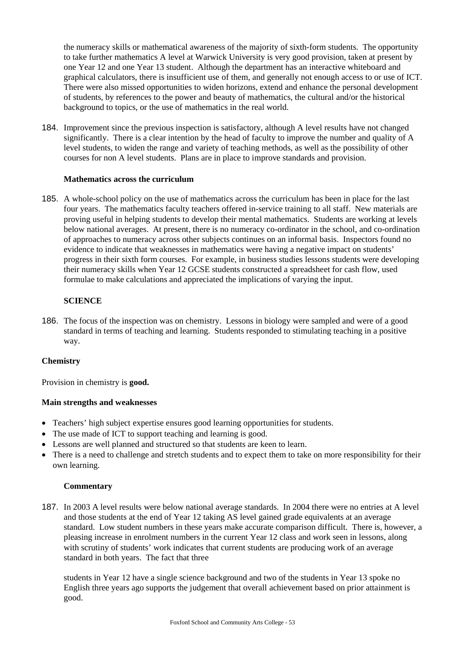the numeracy skills or mathematical awareness of the majority of sixth-form students. The opportunity to take further mathematics A level at Warwick University is very good provision, taken at present by one Year 12 and one Year 13 student. Although the department has an interactive whiteboard and graphical calculators, there is insufficient use of them, and generally not enough access to or use of ICT. There were also missed opportunities to widen horizons, extend and enhance the personal development of students, by references to the power and beauty of mathematics, the cultural and/or the historical background to topics, or the use of mathematics in the real world.

184. Improvement since the previous inspection is satisfactory, although A level results have not changed significantly. There is a clear intention by the head of faculty to improve the number and quality of A level students, to widen the range and variety of teaching methods, as well as the possibility of other courses for non A level students. Plans are in place to improve standards and provision.

#### **Mathematics across the curriculum**

185. A whole-school policy on the use of mathematics across the curriculum has been in place for the last four years. The mathematics faculty teachers offered in-service training to all staff. New materials are proving useful in helping students to develop their mental mathematics. Students are working at levels below national averages. At present, there is no numeracy co-ordinator in the school, and co-ordination of approaches to numeracy across other subjects continues on an informal basis. Inspectors found no evidence to indicate that weaknesses in mathematics were having a negative impact on students' progress in their sixth form courses. For example, in business studies lessons students were developing their numeracy skills when Year 12 GCSE students constructed a spreadsheet for cash flow, used formulae to make calculations and appreciated the implications of varying the input.

#### **SCIENCE**

186. The focus of the inspection was on chemistry. Lessons in biology were sampled and were of a good standard in terms of teaching and learning. Students responded to stimulating teaching in a positive way.

#### **Chemistry**

Provision in chemistry is **good.**

#### **Main strengths and weaknesses**

- Teachers' high subject expertise ensures good learning opportunities for students.
- The use made of ICT to support teaching and learning is good.
- Lessons are well planned and structured so that students are keen to learn.
- There is a need to challenge and stretch students and to expect them to take on more responsibility for their own learning.

#### **Commentary**

187. In 2003 A level results were below national average standards. In 2004 there were no entries at A level and those students at the end of Year 12 taking AS level gained grade equivalents at an average standard. Low student numbers in these years make accurate comparison difficult. There is, however, a pleasing increase in enrolment numbers in the current Year 12 class and work seen in lessons, along with scrutiny of students' work indicates that current students are producing work of an average standard in both years. The fact that three

students in Year 12 have a single science background and two of the students in Year 13 spoke no English three years ago supports the judgement that overall achievement based on prior attainment is good.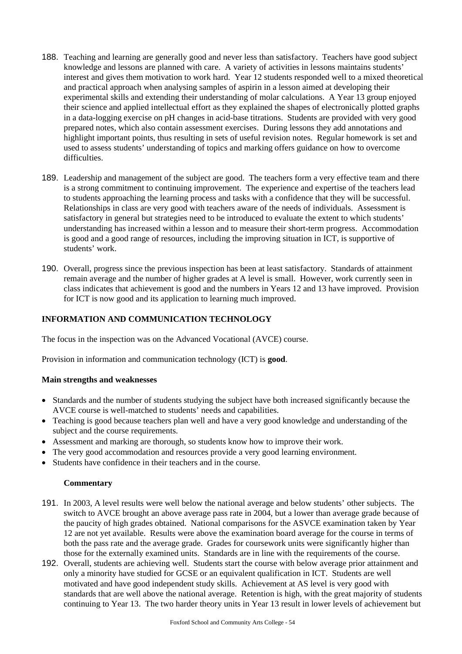- 188. Teaching and learning are generally good and never less than satisfactory. Teachers have good subject knowledge and lessons are planned with care. A variety of activities in lessons maintains students' interest and gives them motivation to work hard. Year 12 students responded well to a mixed theoretical and practical approach when analysing samples of aspirin in a lesson aimed at developing their experimental skills and extending their understanding of molar calculations. A Year 13 group enjoyed their science and applied intellectual effort as they explained the shapes of electronically plotted graphs in a data-logging exercise on pH changes in acid-base titrations. Students are provided with very good prepared notes, which also contain assessment exercises. During lessons they add annotations and highlight important points, thus resulting in sets of useful revision notes. Regular homework is set and used to assess students' understanding of topics and marking offers guidance on how to overcome difficulties.
- 189. Leadership and management of the subject are good. The teachers form a very effective team and there is a strong commitment to continuing improvement. The experience and expertise of the teachers lead to students approaching the learning process and tasks with a confidence that they will be successful. Relationships in class are very good with teachers aware of the needs of individuals. Assessment is satisfactory in general but strategies need to be introduced to evaluate the extent to which students' understanding has increased within a lesson and to measure their short-term progress. Accommodation is good and a good range of resources, including the improving situation in ICT, is supportive of students' work.
- 190. Overall, progress since the previous inspection has been at least satisfactory. Standards of attainment remain average and the number of higher grades at A level is small. However, work currently seen in class indicates that achievement is good and the numbers in Years 12 and 13 have improved. Provision for ICT is now good and its application to learning much improved.

## **INFORMATION AND COMMUNICATION TECHNOLOGY**

The focus in the inspection was on the Advanced Vocational (AVCE) course.

Provision in information and communication technology (ICT) is **good**.

#### **Main strengths and weaknesses**

- Standards and the number of students studying the subject have both increased significantly because the AVCE course is well-matched to students' needs and capabilities.
- Teaching is good because teachers plan well and have a very good knowledge and understanding of the subject and the course requirements.
- Assessment and marking are thorough, so students know how to improve their work.
- The very good accommodation and resources provide a very good learning environment.
- Students have confidence in their teachers and in the course.

- 191. In 2003, A level results were well below the national average and below students' other subjects. The switch to AVCE brought an above average pass rate in 2004, but a lower than average grade because of the paucity of high grades obtained. National comparisons for the ASVCE examination taken by Year 12 are not yet available. Results were above the examination board average for the course in terms of both the pass rate and the average grade. Grades for coursework units were significantly higher than those for the externally examined units. Standards are in line with the requirements of the course.
- 192. Overall, students are achieving well. Students start the course with below average prior attainment and only a minority have studied for GCSE or an equivalent qualification in ICT. Students are well motivated and have good independent study skills. Achievement at AS level is very good with standards that are well above the national average. Retention is high, with the great majority of students continuing to Year 13. The two harder theory units in Year 13 result in lower levels of achievement but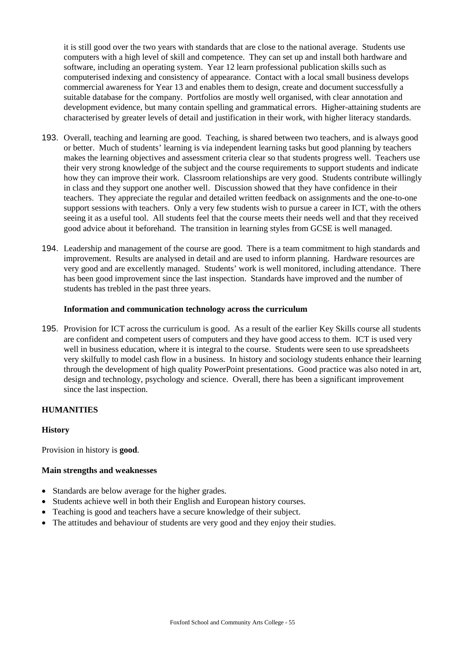it is still good over the two years with standards that are close to the national average. Students use computers with a high level of skill and competence. They can set up and install both hardware and software, including an operating system. Year 12 learn professional publication skills such as computerised indexing and consistency of appearance. Contact with a local small business develops commercial awareness for Year 13 and enables them to design, create and document successfully a suitable database for the company. Portfolios are mostly well organised, with clear annotation and development evidence, but many contain spelling and grammatical errors. Higher-attaining students are characterised by greater levels of detail and justification in their work, with higher literacy standards.

- 193. Overall, teaching and learning are good. Teaching, is shared between two teachers, and is always good or better. Much of students' learning is via independent learning tasks but good planning by teachers makes the learning objectives and assessment criteria clear so that students progress well. Teachers use their very strong knowledge of the subject and the course requirements to support students and indicate how they can improve their work. Classroom relationships are very good. Students contribute willingly in class and they support one another well. Discussion showed that they have confidence in their teachers. They appreciate the regular and detailed written feedback on assignments and the one-to-one support sessions with teachers. Only a very few students wish to pursue a career in ICT, with the others seeing it as a useful tool. All students feel that the course meets their needs well and that they received good advice about it beforehand. The transition in learning styles from GCSE is well managed.
- 194. Leadership and management of the course are good. There is a team commitment to high standards and improvement. Results are analysed in detail and are used to inform planning. Hardware resources are very good and are excellently managed. Students' work is well monitored, including attendance. There has been good improvement since the last inspection. Standards have improved and the number of students has trebled in the past three years.

#### **Information and communication technology across the curriculum**

195. Provision for ICT across the curriculum is good. As a result of the earlier Key Skills course all students are confident and competent users of computers and they have good access to them. ICT is used very well in business education, where it is integral to the course. Students were seen to use spreadsheets very skilfully to model cash flow in a business. In history and sociology students enhance their learning through the development of high quality PowerPoint presentations. Good practice was also noted in art, design and technology, psychology and science. Overall, there has been a significant improvement since the last inspection.

#### **HUMANITIES**

#### **History**

Provision in history is **good**.

#### **Main strengths and weaknesses**

- Standards are below average for the higher grades.
- Students achieve well in both their English and European history courses.
- Teaching is good and teachers have a secure knowledge of their subject.
- The attitudes and behaviour of students are very good and they enjoy their studies.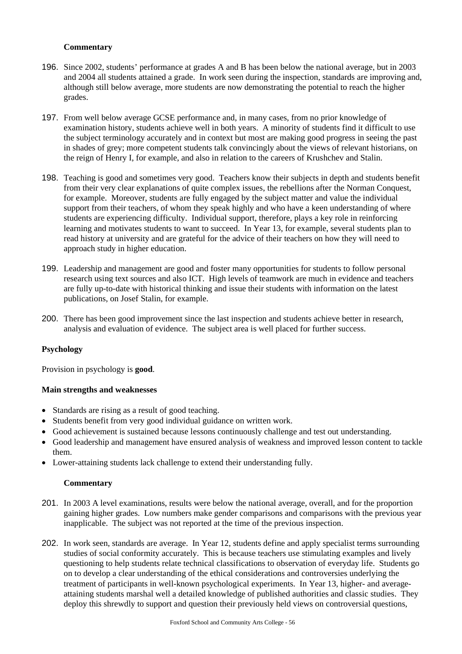### **Commentary**

- 196. Since 2002, students' performance at grades A and B has been below the national average, but in 2003 and 2004 all students attained a grade. In work seen during the inspection, standards are improving and, although still below average, more students are now demonstrating the potential to reach the higher grades.
- 197. From well below average GCSE performance and, in many cases, from no prior knowledge of examination history, students achieve well in both years. A minority of students find it difficult to use the subject terminology accurately and in context but most are making good progress in seeing the past in shades of grey; more competent students talk convincingly about the views of relevant historians, on the reign of Henry I, for example, and also in relation to the careers of Krushchev and Stalin.
- 198. Teaching is good and sometimes very good. Teachers know their subjects in depth and students benefit from their very clear explanations of quite complex issues, the rebellions after the Norman Conquest, for example. Moreover, students are fully engaged by the subject matter and value the individual support from their teachers, of whom they speak highly and who have a keen understanding of where students are experiencing difficulty. Individual support, therefore, plays a key role in reinforcing learning and motivates students to want to succeed. In Year 13, for example, several students plan to read history at university and are grateful for the advice of their teachers on how they will need to approach study in higher education.
- 199. Leadership and management are good and foster many opportunities for students to follow personal research using text sources and also ICT. High levels of teamwork are much in evidence and teachers are fully up-to-date with historical thinking and issue their students with information on the latest publications, on Josef Stalin, for example.
- 200. There has been good improvement since the last inspection and students achieve better in research, analysis and evaluation of evidence. The subject area is well placed for further success.

## **Psychology**

Provision in psychology is **good**.

#### **Main strengths and weaknesses**

- Standards are rising as a result of good teaching.
- Students benefit from very good individual guidance on written work.
- Good achievement is sustained because lessons continuously challenge and test out understanding.
- Good leadership and management have ensured analysis of weakness and improved lesson content to tackle them.
- Lower-attaining students lack challenge to extend their understanding fully.

- 201. In 2003 A level examinations, results were below the national average, overall, and for the proportion gaining higher grades. Low numbers make gender comparisons and comparisons with the previous year inapplicable. The subject was not reported at the time of the previous inspection.
- 202. In work seen, standards are average. In Year 12, students define and apply specialist terms surrounding studies of social conformity accurately. This is because teachers use stimulating examples and lively questioning to help students relate technical classifications to observation of everyday life. Students go on to develop a clear understanding of the ethical considerations and controversies underlying the treatment of participants in well-known psychological experiments. In Year 13, higher- and averageattaining students marshal well a detailed knowledge of published authorities and classic studies. They deploy this shrewdly to support and question their previously held views on controversial questions,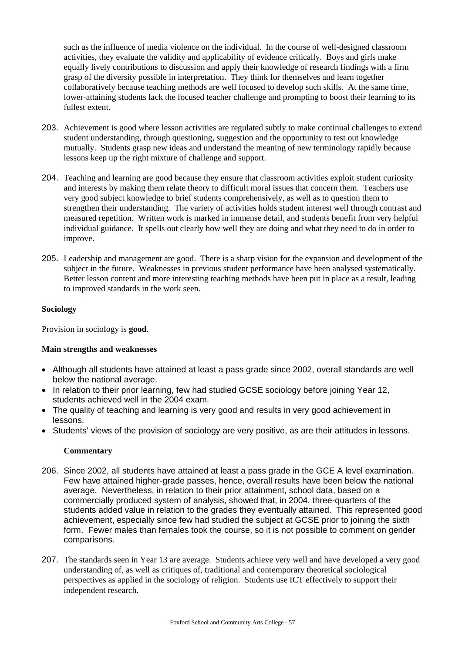such as the influence of media violence on the individual. In the course of well-designed classroom activities, they evaluate the validity and applicability of evidence critically. Boys and girls make equally lively contributions to discussion and apply their knowledge of research findings with a firm grasp of the diversity possible in interpretation. They think for themselves and learn together collaboratively because teaching methods are well focused to develop such skills. At the same time, lower-attaining students lack the focused teacher challenge and prompting to boost their learning to its fullest extent.

- 203. Achievement is good where lesson activities are regulated subtly to make continual challenges to extend student understanding, through questioning, suggestion and the opportunity to test out knowledge mutually. Students grasp new ideas and understand the meaning of new terminology rapidly because lessons keep up the right mixture of challenge and support.
- 204. Teaching and learning are good because they ensure that classroom activities exploit student curiosity and interests by making them relate theory to difficult moral issues that concern them. Teachers use very good subject knowledge to brief students comprehensively, as well as to question them to strengthen their understanding. The variety of activities holds student interest well through contrast and measured repetition. Written work is marked in immense detail, and students benefit from very helpful individual guidance. It spells out clearly how well they are doing and what they need to do in order to improve.
- 205. Leadership and management are good. There is a sharp vision for the expansion and development of the subject in the future. Weaknesses in previous student performance have been analysed systematically. Better lesson content and more interesting teaching methods have been put in place as a result, leading to improved standards in the work seen.

### **Sociology**

Provision in sociology is **good**.

## **Main strengths and weaknesses**

- Although all students have attained at least a pass grade since 2002, overall standards are well below the national average.
- In relation to their prior learning, few had studied GCSE sociology before joining Year 12, students achieved well in the 2004 exam.
- The quality of teaching and learning is very good and results in very good achievement in lessons.
- Students' views of the provision of sociology are very positive, as are their attitudes in lessons.

- 206. Since 2002, all students have attained at least a pass grade in the GCE A level examination. Few have attained higher-grade passes, hence, overall results have been below the national average. Nevertheless, in relation to their prior attainment, school data, based on a commercially produced system of analysis, showed that, in 2004, three-quarters of the students added value in relation to the grades they eventually attained. This represented good achievement, especially since few had studied the subject at GCSE prior to joining the sixth form. Fewer males than females took the course, so it is not possible to comment on gender comparisons.
- 207. The standards seen in Year 13 are average. Students achieve very well and have developed a very good understanding of, as well as critiques of, traditional and contemporary theoretical sociological perspectives as applied in the sociology of religion. Students use ICT effectively to support their independent research.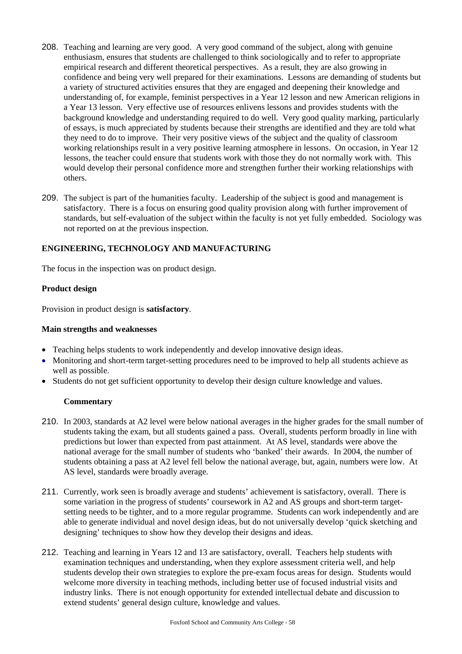- 208. Teaching and learning are very good. A very good command of the subject, along with genuine enthusiasm, ensures that students are challenged to think sociologically and to refer to appropriate empirical research and different theoretical perspectives. As a result, they are also growing in confidence and being very well prepared for their examinations. Lessons are demanding of students but a variety of structured activities ensures that they are engaged and deepening their knowledge and understanding of, for example, feminist perspectives in a Year 12 lesson and new American religions in a Year 13 lesson. Very effective use of resources enlivens lessons and provides students with the background knowledge and understanding required to do well. Very good quality marking, particularly of essays, is much appreciated by students because their strengths are identified and they are told what they need to do to improve. Their very positive views of the subject and the quality of classroom working relationships result in a very positive learning atmosphere in lessons. On occasion, in Year 12 lessons, the teacher could ensure that students work with those they do not normally work with. This would develop their personal confidence more and strengthen further their working relationships with others.
- 209. The subject is part of the humanities faculty. Leadership of the subject is good and management is satisfactory. There is a focus on ensuring good quality provision along with further improvement of standards, but self-evaluation of the subject within the faculty is not yet fully embedded. Sociology was not reported on at the previous inspection.

## **ENGINEERING, TECHNOLOGY AND MANUFACTURING**

The focus in the inspection was on product design.

#### **Product design**

Provision in product design is **satisfactory**.

#### **Main strengths and weaknesses**

- Teaching helps students to work independently and develop innovative design ideas.
- Monitoring and short-term target-setting procedures need to be improved to help all students achieve as well as possible.
- Students do not get sufficient opportunity to develop their design culture knowledge and values.

- 210. In 2003, standards at A2 level were below national averages in the higher grades for the small number of students taking the exam, but all students gained a pass. Overall, students perform broadly in line with predictions but lower than expected from past attainment. At AS level, standards were above the national average for the small number of students who 'banked' their awards. In 2004, the number of students obtaining a pass at A2 level fell below the national average, but, again, numbers were low. At AS level, standards were broadly average.
- 211. Currently, work seen is broadly average and students' achievement is satisfactory, overall. There is some variation in the progress of students' coursework in A2 and AS groups and short-term targetsetting needs to be tighter, and to a more regular programme. Students can work independently and are able to generate individual and novel design ideas, but do not universally develop 'quick sketching and designing' techniques to show how they develop their designs and ideas.
- 212. Teaching and learning in Years 12 and 13 are satisfactory, overall. Teachers help students with examination techniques and understanding, when they explore assessment criteria well, and help students develop their own strategies to explore the pre-exam focus areas for design. Students would welcome more diversity in teaching methods, including better use of focused industrial visits and industry links. There is not enough opportunity for extended intellectual debate and discussion to extend students' general design culture, knowledge and values.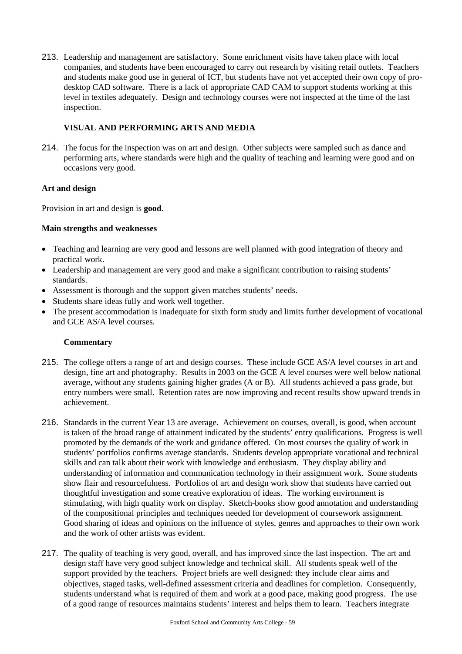213. Leadership and management are satisfactory. Some enrichment visits have taken place with local companies, and students have been encouraged to carry out research by visiting retail outlets. Teachers and students make good use in general of ICT, but students have not yet accepted their own copy of prodesktop CAD software. There is a lack of appropriate CAD CAM to support students working at this level in textiles adequately. Design and technology courses were not inspected at the time of the last inspection.

## **VISUAL AND PERFORMING ARTS AND MEDIA**

214. The focus for the inspection was on art and design. Other subjects were sampled such as dance and performing arts, where standards were high and the quality of teaching and learning were good and on occasions very good.

### **Art and design**

Provision in art and design is **good**.

### **Main strengths and weaknesses**

- Teaching and learning are very good and lessons are well planned with good integration of theory and practical work.
- Leadership and management are very good and make a significant contribution to raising students' standards.
- Assessment is thorough and the support given matches students' needs.
- Students share ideas fully and work well together.
- The present accommodation is inadequate for sixth form study and limits further development of vocational and GCE AS/A level courses.

- 215. The college offers a range of art and design courses. These include GCE AS/A level courses in art and design, fine art and photography. Results in 2003 on the GCE A level courses were well below national average, without any students gaining higher grades (A or B). All students achieved a pass grade, but entry numbers were small. Retention rates are now improving and recent results show upward trends in achievement.
- 216. Standards in the current Year 13 are average. Achievement on courses, overall, is good, when account is taken of the broad range of attainment indicated by the students' entry qualifications. Progress is well promoted by the demands of the work and guidance offered. On most courses the quality of work in students' portfolios confirms average standards. Students develop appropriate vocational and technical skills and can talk about their work with knowledge and enthusiasm. They display ability and understanding of information and communication technology in their assignment work. Some students show flair and resourcefulness. Portfolios of art and design work show that students have carried out thoughtful investigation and some creative exploration of ideas. The working environment is stimulating, with high quality work on display. Sketch-books show good annotation and understanding of the compositional principles and techniques needed for development of coursework assignment. Good sharing of ideas and opinions on the influence of styles, genres and approaches to their own work and the work of other artists was evident.
- 217. The quality of teaching is very good, overall, and has improved since the last inspection. The art and design staff have very good subject knowledge and technical skill. All students speak well of the support provided by the teachers. Project briefs are well designed: they include clear aims and objectives, staged tasks, well-defined assessment criteria and deadlines for completion. Consequently, students understand what is required of them and work at a good pace, making good progress. The use of a good range of resources maintains students' interest and helps them to learn. Teachers integrate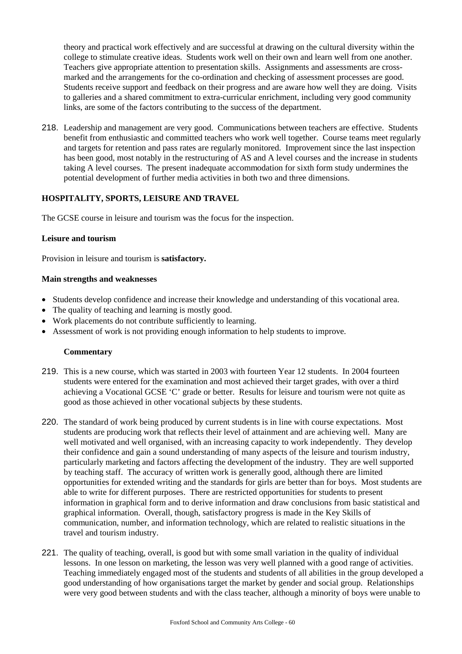theory and practical work effectively and are successful at drawing on the cultural diversity within the college to stimulate creative ideas. Students work well on their own and learn well from one another. Teachers give appropriate attention to presentation skills. Assignments and assessments are crossmarked and the arrangements for the co-ordination and checking of assessment processes are good. Students receive support and feedback on their progress and are aware how well they are doing. Visits to galleries and a shared commitment to extra-curricular enrichment, including very good community links, are some of the factors contributing to the success of the department.

218. Leadership and management are very good. Communications between teachers are effective. Students benefit from enthusiastic and committed teachers who work well together. Course teams meet regularly and targets for retention and pass rates are regularly monitored. Improvement since the last inspection has been good, most notably in the restructuring of AS and A level courses and the increase in students taking A level courses. The present inadequate accommodation for sixth form study undermines the potential development of further media activities in both two and three dimensions.

### **HOSPITALITY, SPORTS, LEISURE AND TRAVEL**

The GCSE course in leisure and tourism was the focus for the inspection.

#### **Leisure and tourism**

Provision in leisure and tourism is **satisfactory.**

#### **Main strengths and weaknesses**

- Students develop confidence and increase their knowledge and understanding of this vocational area.
- The quality of teaching and learning is mostly good.
- Work placements do not contribute sufficiently to learning.
- Assessment of work is not providing enough information to help students to improve.

- 219. This is a new course, which was started in 2003 with fourteen Year 12 students. In 2004 fourteen students were entered for the examination and most achieved their target grades, with over a third achieving a Vocational GCSE 'C' grade or better. Results for leisure and tourism were not quite as good as those achieved in other vocational subjects by these students.
- 220. The standard of work being produced by current students is in line with course expectations. Most students are producing work that reflects their level of attainment and are achieving well. Many are well motivated and well organised, with an increasing capacity to work independently. They develop their confidence and gain a sound understanding of many aspects of the leisure and tourism industry, particularly marketing and factors affecting the development of the industry. They are well supported by teaching staff. The accuracy of written work is generally good, although there are limited opportunities for extended writing and the standards for girls are better than for boys. Most students are able to write for different purposes. There are restricted opportunities for students to present information in graphical form and to derive information and draw conclusions from basic statistical and graphical information. Overall, though, satisfactory progress is made in the Key Skills of communication, number, and information technology, which are related to realistic situations in the travel and tourism industry.
- 221. The quality of teaching, overall, is good but with some small variation in the quality of individual lessons. In one lesson on marketing, the lesson was very well planned with a good range of activities. Teaching immediately engaged most of the students and students of all abilities in the group developed a good understanding of how organisations target the market by gender and social group. Relationships were very good between students and with the class teacher, although a minority of boys were unable to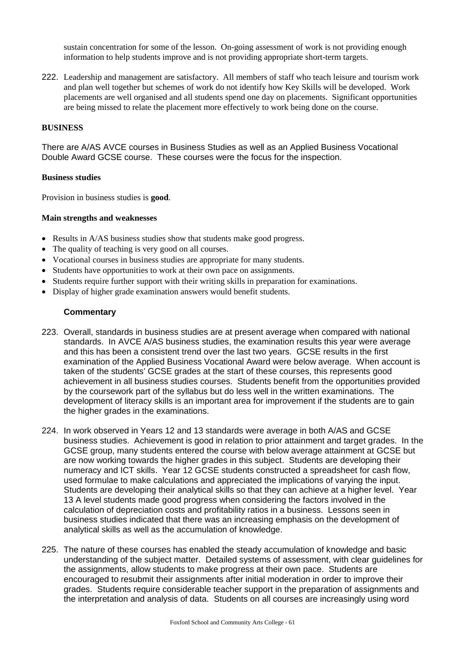sustain concentration for some of the lesson. On-going assessment of work is not providing enough information to help students improve and is not providing appropriate short-term targets.

222. Leadership and management are satisfactory. All members of staff who teach leisure and tourism work and plan well together but schemes of work do not identify how Key Skills will be developed. Work placements are well organised and all students spend one day on placements. Significant opportunities are being missed to relate the placement more effectively to work being done on the course.

#### **BUSINESS**

There are A/AS AVCE courses in Business Studies as well as an Applied Business Vocational Double Award GCSE course. These courses were the focus for the inspection.

#### **Business studies**

Provision in business studies is **good**.

### **Main strengths and weaknesses**

- Results in A/AS business studies show that students make good progress.
- The quality of teaching is very good on all courses.
- Vocational courses in business studies are appropriate for many students.
- Students have opportunities to work at their own pace on assignments.
- Students require further support with their writing skills in preparation for examinations.
- Display of higher grade examination answers would benefit students.

- 223. Overall, standards in business studies are at present average when compared with national standards. In AVCE A/AS business studies, the examination results this year were average and this has been a consistent trend over the last two years. GCSE results in the first examination of the Applied Business Vocational Award were below average. When account is taken of the students' GCSE grades at the start of these courses, this represents good achievement in all business studies courses. Students benefit from the opportunities provided by the coursework part of the syllabus but do less well in the written examinations. The development of literacy skills is an important area for improvement if the students are to gain the higher grades in the examinations.
- 224. In work observed in Years 12 and 13 standards were average in both A/AS and GCSE business studies. Achievement is good in relation to prior attainment and target grades. In the GCSE group, many students entered the course with below average attainment at GCSE but are now working towards the higher grades in this subject. Students are developing their numeracy and ICT skills. Year 12 GCSE students constructed a spreadsheet for cash flow, used formulae to make calculations and appreciated the implications of varying the input. Students are developing their analytical skills so that they can achieve at a higher level. Year 13 A level students made good progress when considering the factors involved in the calculation of depreciation costs and profitability ratios in a business. Lessons seen in business studies indicated that there was an increasing emphasis on the development of analytical skills as well as the accumulation of knowledge.
- 225. The nature of these courses has enabled the steady accumulation of knowledge and basic understanding of the subject matter. Detailed systems of assessment, with clear guidelines for the assignments, allow students to make progress at their own pace. Students are encouraged to resubmit their assignments after initial moderation in order to improve their grades. Students require considerable teacher support in the preparation of assignments and the interpretation and analysis of data. Students on all courses are increasingly using word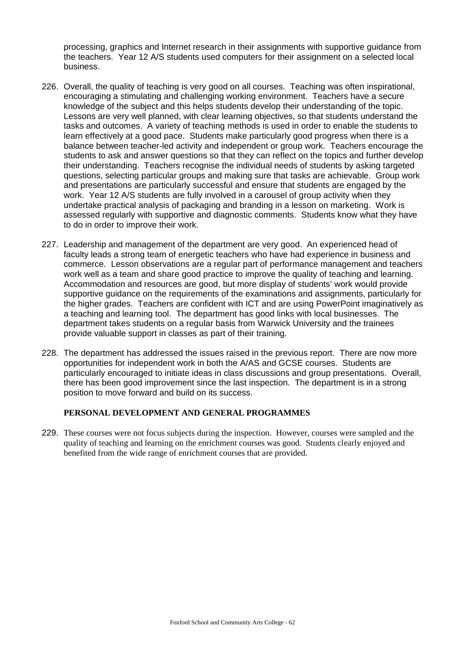processing, graphics and Internet research in their assignments with supportive guidance from the teachers. Year 12 A/S students used computers for their assignment on a selected local business.

- 226. Overall, the quality of teaching is very good on all courses. Teaching was often inspirational, encouraging a stimulating and challenging working environment. Teachers have a secure knowledge of the subject and this helps students develop their understanding of the topic. Lessons are very well planned, with clear learning objectives, so that students understand the tasks and outcomes. A variety of teaching methods is used in order to enable the students to learn effectively at a good pace. Students make particularly good progress when there is a balance between teacher-led activity and independent or group work. Teachers encourage the students to ask and answer questions so that they can reflect on the topics and further develop their understanding. Teachers recognise the individual needs of students by asking targeted questions, selecting particular groups and making sure that tasks are achievable. Group work and presentations are particularly successful and ensure that students are engaged by the work. Year 12 A/S students are fully involved in a carousel of group activity when they undertake practical analysis of packaging and branding in a lesson on marketing. Work is assessed regularly with supportive and diagnostic comments. Students know what they have to do in order to improve their work.
- 227. Leadership and management of the department are very good. An experienced head of faculty leads a strong team of energetic teachers who have had experience in business and commerce. Lesson observations are a regular part of performance management and teachers work well as a team and share good practice to improve the quality of teaching and learning. Accommodation and resources are good, but more display of students' work would provide supportive guidance on the requirements of the examinations and assignments, particularly for the higher grades. Teachers are confident with ICT and are using PowerPoint imaginatively as a teaching and learning tool. The department has good links with local businesses. The department takes students on a regular basis from Warwick University and the trainees provide valuable support in classes as part of their training.
- 228. The department has addressed the issues raised in the previous report. There are now more opportunities for independent work in both the A/AS and GCSE courses. Students are particularly encouraged to initiate ideas in class discussions and group presentations. Overall, there has been good improvement since the last inspection. The department is in a strong position to move forward and build on its success.

#### **PERSONAL DEVELOPMENT AND GENERAL PROGRAMMES**

229. These courses were not focus subjects during the inspection. However, courses were sampled and the quality of teaching and learning on the enrichment courses was good. Students clearly enjoyed and benefited from the wide range of enrichment courses that are provided.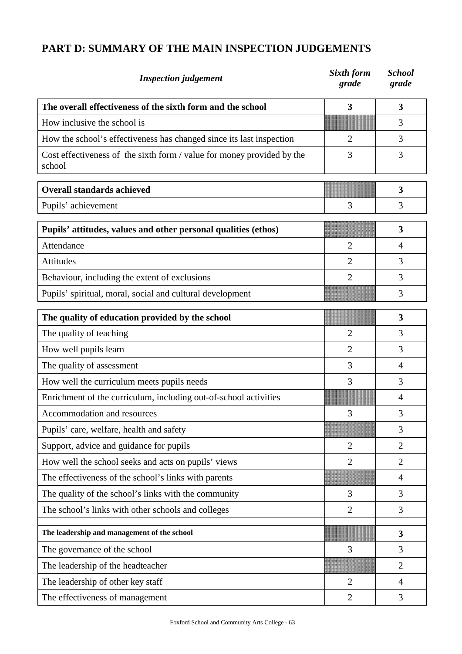# **PART D: SUMMARY OF THE MAIN INSPECTION JUDGEMENTS**

| <b>Inspection</b> judgement                                                      | Sixth form<br>grade     | <b>School</b><br>grade |
|----------------------------------------------------------------------------------|-------------------------|------------------------|
| The overall effectiveness of the sixth form and the school                       | $\overline{\mathbf{3}}$ | 3                      |
| How inclusive the school is                                                      |                         | 3                      |
| How the school's effectiveness has changed since its last inspection             | $\overline{2}$          | 3                      |
| Cost effectiveness of the sixth form / value for money provided by the<br>school | 3                       | 3                      |
| <b>Overall standards achieved</b>                                                |                         | 3                      |
| Pupils' achievement                                                              | 3                       | 3                      |
| Pupils' attitudes, values and other personal qualities (ethos)                   |                         | 3                      |
| Attendance                                                                       | $\overline{2}$          | $\overline{4}$         |
| Attitudes                                                                        | $\overline{2}$          | 3                      |
| Behaviour, including the extent of exclusions                                    | $\overline{2}$          | 3                      |
| Pupils' spiritual, moral, social and cultural development                        |                         | 3                      |
| The quality of education provided by the school                                  |                         | 3                      |
| The quality of teaching                                                          | 2                       | 3                      |
| How well pupils learn                                                            | $\overline{2}$          | 3                      |
| The quality of assessment                                                        | 3                       | 4                      |
| How well the curriculum meets pupils needs                                       | 3                       | 3                      |
| Enrichment of the curriculum, including out-of-school activities                 |                         | 4                      |
| Accommodation and resources                                                      | 3                       | 3                      |
| Pupils' care, welfare, health and safety                                         |                         | 3                      |
| Support, advice and guidance for pupils                                          | $\overline{2}$          | $\overline{2}$         |
| How well the school seeks and acts on pupils' views                              | $\overline{2}$          | $\overline{2}$         |
| The effectiveness of the school's links with parents                             |                         | $\overline{4}$         |
| The quality of the school's links with the community                             | 3                       | 3                      |
| The school's links with other schools and colleges                               | $\overline{2}$          | 3                      |
| The leadership and management of the school                                      |                         | 3                      |
| The governance of the school                                                     | 3                       | 3                      |
| The leadership of the headteacher                                                |                         | $\overline{2}$         |
| The leadership of other key staff                                                | $\overline{2}$          | $\overline{4}$         |
| The effectiveness of management                                                  | $\overline{2}$          | 3                      |